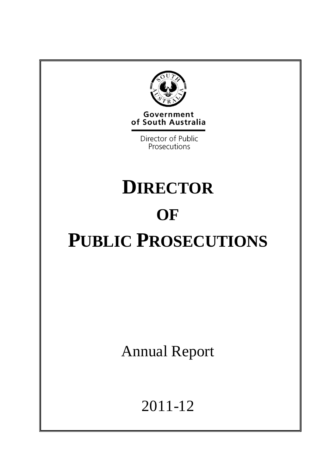

Government of South Australia

> Director of Public Prosecutions

# **DIRECTOR OF PUBLIC PROSECUTIONS**

Annual Report

2011-12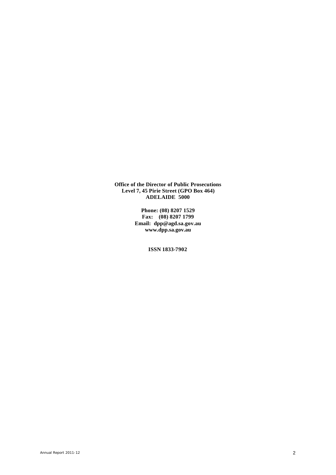**Office of the Director of Public Prosecutions Level 7, 45 Pirie Street (GPO Box 464) ADELAIDE 5000**

> **Phone: (08) 8207 1529 Fax: (08) 8207 1799 Email: dpp@agd.sa.gov.au www.dpp.sa.gov.au**

> > **ISSN 1833-7902**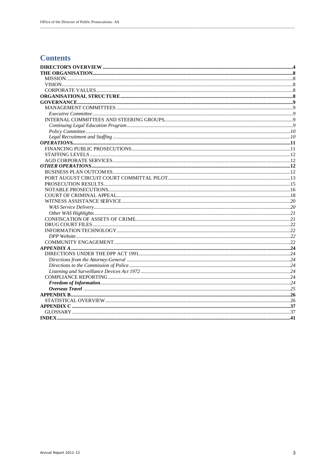# **Contents**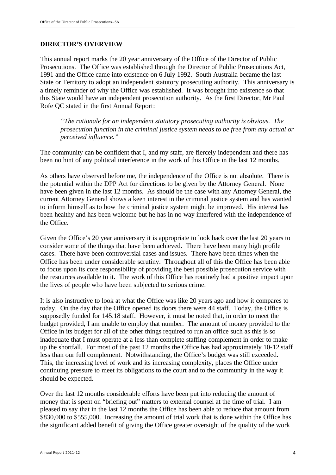#### **DIRECTOR'S OVERVIEW**

This annual report marks the 20 year anniversary of the Office of the Director of Public Prosecutions. The Office was established through the Director of Public Prosecutions Act, 1991 and the Office came into existence on 6 July 1992. South Australia became the last State or Territory to adopt an independent statutory prosecuting authority. This anniversary is a timely reminder of why the Office was established. It was brought into existence so that this State would have an independent prosecution authority. As the first Director, Mr Paul Rofe QC stated in the first Annual Report:

*"The rationale for an independent statutory prosecuting authority is obvious. The prosecution function in the criminal justice system needs to be free from any actual or perceived influence."*

The community can be confident that I, and my staff, are fiercely independent and there has been no hint of any political interference in the work of this Office in the last 12 months.

As others have observed before me, the independence of the Office is not absolute. There is the potential within the DPP Act for directions to be given by the Attorney General. None have been given in the last 12 months. As should be the case with any Attorney General, the current Attorney General shows a keen interest in the criminal justice system and has wanted to inform himself as to how the criminal justice system might be improved. His interest has been healthy and has been welcome but he has in no way interfered with the independence of the Office.

Given the Office's 20 year anniversary it is appropriate to look back over the last 20 years to consider some of the things that have been achieved. There have been many high profile cases. There have been controversial cases and issues. There have been times when the Office has been under considerable scrutiny. Throughout all of this the Office has been able to focus upon its core responsibility of providing the best possible prosecution service with the resources available to it. The work of this Office has routinely had a positive impact upon the lives of people who have been subjected to serious crime.

It is also instructive to look at what the Office was like 20 years ago and how it compares to today. On the day that the Office opened its doors there were 44 staff. Today, the Office is supposedly funded for 145.18 staff. However, it must be noted that, in order to meet the budget provided, I am unable to employ that number. The amount of money provided to the Office in its budget for all of the other things required to run an office such as this is so inadequate that I must operate at a less than complete staffing complement in order to make up the shortfall. For most of the past 12 months the Office has had approximately 10-12 staff less than our full complement. Notwithstanding, the Office's budget was still exceeded. This, the increasing level of work and its increasing complexity, places the Office under continuing pressure to meet its obligations to the court and to the community in the way it should be expected.

Over the last 12 months considerable efforts have been put into reducing the amount of money that is spent on "briefing out" matters to external counsel at the time of trial. I am pleased to say that in the last 12 months the Office has been able to reduce that amount from \$830,000 to \$555,000. Increasing the amount of trial work that is done within the Office has the significant added benefit of giving the Office greater oversight of the quality of the work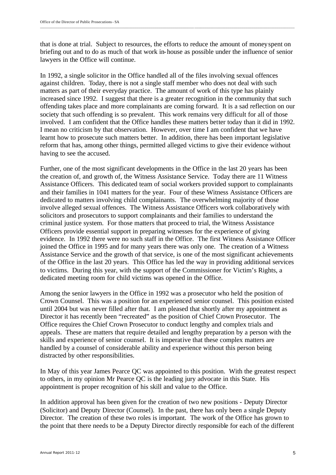that is done at trial. Subject to resources, the efforts to reduce the amount of money spent on briefing out and to do as much of that work in-house as possible under the influence of senior lawyers in the Office will continue.

In 1992, a single solicitor in the Office handled all of the files involving sexual offences against children. Today, there is not a single staff member who does not deal with such matters as part of their everyday practice. The amount of work of this type has plainly increased since 1992. I suggest that there is a greater recognition in the community that such offending takes place and more complainants are coming forward. It is a sad reflection on our society that such offending is so prevalent. This work remains very difficult for all of those involved. I am confident that the Office handles these matters better today than it did in 1992. I mean no criticism by that observation. However, over time I am confident that we have learnt how to prosecute such matters better. In addition, there has been important legislative reform that has, among other things, permitted alleged victims to give their evidence without having to see the accused.

Further, one of the most significant developments in the Office in the last 20 years has been the creation of, and growth of, the Witness Assistance Service. Today there are 11 Witness Assistance Officers. This dedicated team of social workers provided support to complainants and their families in 1041 matters for the year. Four of these Witness Assistance Officers are dedicated to matters involving child complainants. The overwhelming majority of those involve alleged sexual offences. The Witness Assistance Officers work collaboratively with solicitors and prosecutors to support complainants and their families to understand the criminal justice system. For those matters that proceed to trial, the Witness Assistance Officers provide essential support in preparing witnesses for the experience of giving evidence. In 1992 there were no such staff in the Office. The first Witness Assistance Officer joined the Office in 1995 and for many years there was only one. The creation of a Witness Assistance Service and the growth of that service, is one of the most significant achievements of the Office in the last 20 years. This Office has led the way in providing additional services to victims. During this year, with the support of the Commissioner for Victim's Rights, a dedicated meeting room for child victims was opened in the Office.

Among the senior lawyers in the Office in 1992 was a prosecutor who held the position of Crown Counsel. This was a position for an experienced senior counsel. This position existed until 2004 but was never filled after that. I am pleased that shortly after my appointment as Director it has recently been "recreated" as the position of Chief Crown Prosecutor. The Office requires the Chief Crown Prosecutor to conduct lengthy and complex trials and appeals. These are matters that require detailed and lengthy preparation by a person with the skills and experience of senior counsel. It is imperative that these complex matters are handled by a counsel of considerable ability and experience without this person being distracted by other responsibilities.

In May of this year James Pearce QC was appointed to this position. With the greatest respect to others, in my opinion Mr Pearce QC is the leading jury advocate in this State. His appointment is proper recognition of his skill and value to the Office.

In addition approval has been given for the creation of two new positions - Deputy Director (Solicitor) and Deputy Director (Counsel). In the past, there has only been a single Deputy Director. The creation of these two roles is important. The work of the Office has grown to the point that there needs to be a Deputy Director directly responsible for each of the different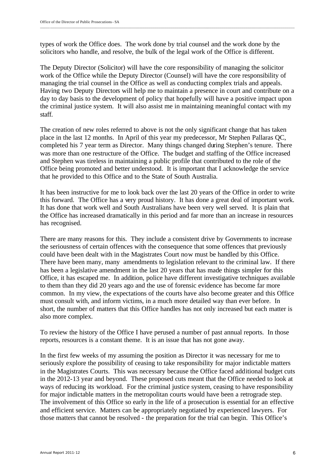types of work the Office does. The work done by trial counsel and the work done by the solicitors who handle, and resolve, the bulk of the legal work of the Office is different.

The Deputy Director (Solicitor) will have the core responsibility of managing the solicitor work of the Office while the Deputy Director (Counsel) will have the core responsibility of managing the trial counsel in the Office as well as conducting complex trials and appeals. Having two Deputy Directors will help me to maintain a presence in court and contribute on a day to day basis to the development of policy that hopefully will have a positive impact upon the criminal justice system. It will also assist me in maintaining meaningful contact with my staff.

The creation of new roles referred to above is not the only significant change that has taken place in the last 12 months. In April of this year my predecessor, Mr Stephen Pallaras QC, completed his 7 year term as Director. Many things changed during Stephen's tenure. There was more than one restructure of the Office. The budget and staffing of the Office increased and Stephen was tireless in maintaining a public profile that contributed to the role of the Office being promoted and better understood. It is important that I acknowledge the service that he provided to this Office and to the State of South Australia.

It has been instructive for me to look back over the last 20 years of the Office in order to write this forward. The Office has a very proud history. It has done a great deal of important work. It has done that work well and South Australians have been very well served. It is plain that the Office has increased dramatically in this period and far more than an increase in resources has recognised.

There are many reasons for this. They include a consistent drive by Governments to increase the seriousness of certain offences with the consequence that some offences that previously could have been dealt with in the Magistrates Court now must be handled by this Office. There have been many, many amendments to legislation relevant to the criminal law. If there has been a legislative amendment in the last 20 years that has made things simpler for this Office, it has escaped me. In addition, police have different investigative techniques available to them than they did 20 years ago and the use of forensic evidence has become far more common. In my view, the expectations of the courts have also become greater and this Office must consult with, and inform victims, in a much more detailed way than ever before. In short, the number of matters that this Office handles has not only increased but each matter is also more complex.

To review the history of the Office I have perused a number of past annual reports. In those reports, resources is a constant theme. It is an issue that has not gone away.

In the first few weeks of my assuming the position as Director it was necessary for me to seriously explore the possibility of ceasing to take responsibility for major indictable matters in the Magistrates Courts. This was necessary because the Office faced additional budget cuts in the 2012-13 year and beyond. These proposed cuts meant that the Office needed to look at ways of reducing its workload. For the criminal justice system, ceasing to have responsibility for major indictable matters in the metropolitan courts would have been a retrograde step. The involvement of this Office so early in the life of a prosecution is essential for an effective and efficient service. Matters can be appropriately negotiated by experienced lawyers. For those matters that cannot be resolved - the preparation for the trial can begin. This Office's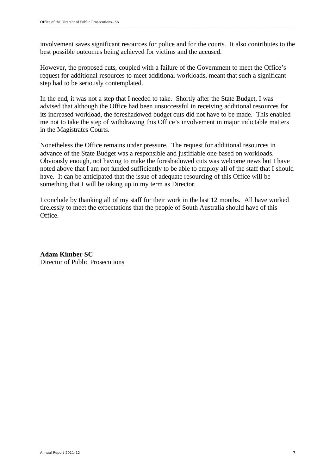involvement saves significant resources for police and for the courts. It also contributes to the best possible outcomes being achieved for victims and the accused.

However, the proposed cuts, coupled with a failure of the Government to meet the Office's request for additional resources to meet additional workloads, meant that such a significant step had to be seriously contemplated.

In the end, it was not a step that I needed to take. Shortly after the State Budget, I was advised that although the Office had been unsuccessful in receiving additional resources for its increased workload, the foreshadowed budget cuts did not have to be made. This enabled me not to take the step of withdrawing this Office's involvement in major indictable matters in the Magistrates Courts.

Nonetheless the Office remains under pressure. The request for additional resources in advance of the State Budget was a responsible and justifiable one based on workloads. Obviously enough, not having to make the foreshadowed cuts was welcome news but I have noted above that I am not funded sufficiently to be able to employ all of the staff that I should have. It can be anticipated that the issue of adequate resourcing of this Office will be something that I will be taking up in my term as Director.

I conclude by thanking all of my staff for their work in the last 12 months. All have worked tirelessly to meet the expectations that the people of South Australia should have of this Office.

**Adam Kimber SC** Director of Public Prosecutions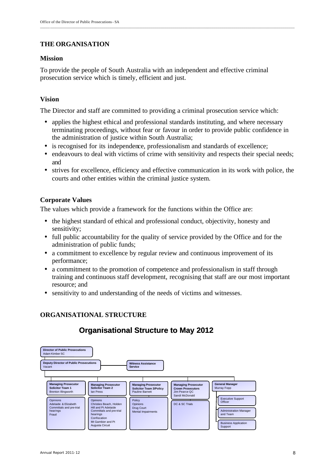## **THE ORGANISATION**

## **Mission**

To provide the people of South Australia with an independent and effective criminal prosecution service which is timely, efficient and just.

## **Vision**

The Director and staff are committed to providing a criminal prosecution service which:

- applies the highest ethical and professional standards instituting, and where necessary terminating proceedings, without fear or favour in order to provide public confidence in the administration of justice within South Australia;
- is recognised for its independence, professionalism and standards of excellence;
- endeavours to deal with victims of crime with sensitivity and respects their special needs; and
- strives for excellence, efficiency and effective communication in its work with police, the courts and other entities within the criminal justice system.

## **Corporate Values**

The values which provide a framework for the functions within the Office are:

- the highest standard of ethical and professional conduct, objectivity, honesty and sensitivity;
- full public accountability for the quality of service provided by the Office and for the administration of public funds;
- a commitment to excellence by regular review and continuous improvement of its performance;
- a commitment to the promotion of competence and professionalism in staff through training and continuous staff development, recognising that staff are our most important resource; and
- sensitivity to and understanding of the needs of victims and witnesses.

## **ORGANISATIONAL STRUCTURE**

# **Organisational Structure to May 2012**

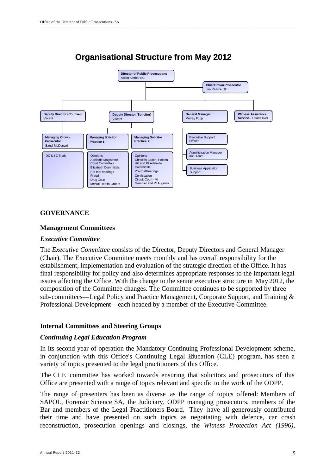

# **Organisational Structure from May 2012**

\_\_\_\_\_\_\_\_\_\_\_\_\_\_\_\_\_\_\_\_\_\_\_\_\_\_\_\_\_\_\_\_\_\_\_\_\_\_\_\_\_\_\_\_\_\_\_\_\_\_\_\_\_\_\_\_\_\_\_\_\_\_\_\_\_\_\_\_\_\_\_\_\_\_\_\_\_\_ \_\_\_\_\_\_\_\_\_\_\_\_\_\_\_\_\_\_\_\_\_\_\_\_\_\_\_\_\_\_\_\_\_\_\_\_\_\_\_\_\_\_\_\_\_\_\_\_\_\_\_

## **GOVERNANCE**

#### **Management Committees**

#### *Executive Committee*

The *Executive Committee* consists of the Director, Deputy Directors and General Manager (Chair). The Executive Committee meets monthly and has overall responsibility for the establishment, implementation and evaluation of the strategic direction of the Office. It has final responsibility for policy and also determines appropriate responses to the important legal issues affecting the Office. With the change to the senior executive structure in May 2012, the composition of the Committee changes. The Committee continues to be supported by three sub-committees—Legal Policy and Practice Management, Corporate Support, and Training & Professional Deve lopment—each headed by a member of the Executive Committee.

## **Internal Committees and Steering Groups**

#### *Continuing Legal Education Program*

In its second year of operation the Mandatory Continuing Professional Development scheme, in conjunction with this Office's Continuing Legal Education (CLE) program, has seen a variety of topics presented to the legal practitioners of this Office.

The CLE committee has worked towards ensuring that solicitors and prosecutors of this Office are presented with a range of topics relevant and specific to the work of the ODPP.

The range of presenters has been as diverse as the range of topics offered: Members of SAPOL, Forensic Science SA, the Judiciary, ODPP managing prosecutors, members of the Bar and members of the Legal Practitioners Board. They have all generously contributed their time and have presented on such topics as negotiating with defence, car crash reconstruction, prosecution openings and closings, the *Witness Protection Act (1996),*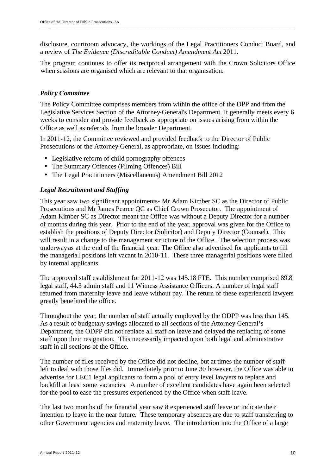disclosure, courtroom advocacy, the workings of the Legal Practitioners Conduct Board, and a review of *The Evidence (Discreditable Conduct) Amendment Act* 2011.

The program continues to offer its reciprocal arrangement with the Crown Solicitors Office when sessions are organised which are relevant to that organisation.

## *Policy Committee*

The Policy Committee comprises members from within the office of the DPP and from the Legislative Services Section of the Attorney-General's Department. It generally meets every 6 weeks to consider and provide feedback as appropriate on issues arising from within the Office as well as referrals from the broader Department.

In 2011-12, the Committee reviewed and provided feedback to the Director of Public Prosecutions or the Attorney-General, as appropriate, on issues including:

- Legislative reform of child pornography offences
- The Summary Offences (Filming Offences) Bill
- The Legal Practitioners (Miscellaneous) Amendment Bill 2012

## *Legal Recruitment and Staffing*

This year saw two significant appointments- Mr Adam Kimber SC as the Director of Public Prosecutions and Mr James Pearce QC as Chief Crown Prosecutor. The appointment of Adam Kimber SC as Director meant the Office was without a Deputy Director for a number of months during this year. Prior to the end of the year, approval was given for the Office to establish the positions of Deputy Director (Solicitor) and Deputy Director (Counsel). This will result in a change to the management structure of the Office. The selection process was underway as at the end of the financial year. The Office also advertised for applicants to fill the managerial positions left vacant in 2010-11. These three managerial positions were filled by internal applicants.

The approved staff establishment for 2011-12 was 145.18 FTE. This number comprised 89.8 legal staff, 44.3 admin staff and 11 Witness Assistance Officers. A number of legal staff returned from maternity leave and leave without pay. The return of these experienced lawyers greatly benefitted the office.

Throughout the year, the number of staff actually employed by the ODPP was less than 145. As a result of budgetary savings allocated to all sections of the Attorney-General's Department, the ODPP did not replace all staff on leave and delayed the replacing of some staff upon their resignation. This necessarily impacted upon both legal and administrative staff in all sections of the Office.

The number of files received by the Office did not decline, but at times the number of staff left to deal with those files did. Immediately prior to June 30 however, the Office was able to advertise for LEC1 legal applicants to form a pool of entry level lawyers to replace and backfill at least some vacancies. A number of excellent candidates have again been selected for the pool to ease the pressures experienced by the Office when staff leave.

The last two months of the financial year saw 8 experienced staff leave or indicate their intention to leave in the near future. These temporary absences are due to staff transferring to other Government agencies and maternity leave. The introduction into the Office of a large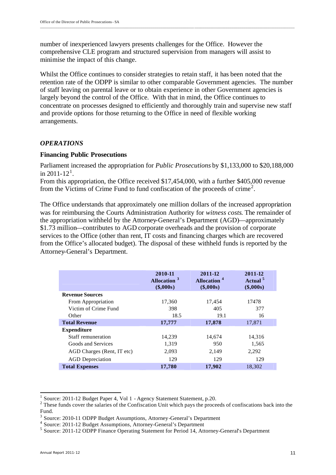number of inexperienced lawyers presents challenges for the Office. However the comprehensive CLE program and structured supervision from managers will assist to minimise the impact of this change.

Whilst the Office continues to consider strategies to retain staff, it has been noted that the retention rate of the ODPP is similar to other comparable Government agencies. The number of staff leaving on parental leave or to obtain experience in other Government agencies is largely beyond the control of the Office. With that in mind, the Office continues to concentrate on processes designed to efficiently and thoroughly train and supervise new staff and provide options for those returning to the Office in need of flexible working arrangements.

#### *OPERATIONS*

#### **Financing Public Prosecutions**

Parliament increased the appropriation for *Public Prosecutions* by \$1,133,000 to \$20,188,000 in 2011-12<sup>1</sup>.

From this appropriation, the Office received \$17,454,000, with a further \$405,000 revenue from the Victims of Crime Fund to fund confiscation of the proceeds of crime<sup>2</sup>.

The Office understands that approximately one million dollars of the increased appropriation was for reimbursing the Courts Administration Authority for *witness costs*. The remainder of the appropriation withheld by the Attorney-General's Department (AGD)—approximately \$1.73 million—contributes to AGD corporate overheads and the provision of corporate services to the Office (other than rent, IT costs and financing charges which are recovered from the Office's allocated budget). The disposal of these withheld funds is reported by the Attorney-General's Department.

|                            | 2010-11<br>Allocation <sup>3</sup><br>$(\$,000s)$ | 2011-12<br>Allocation <sup>4</sup><br>$(\$,000s)$ | 2011-12<br>Actual <sup>5</sup><br>$(\$,000s)$ |
|----------------------------|---------------------------------------------------|---------------------------------------------------|-----------------------------------------------|
| <b>Revenue Sources</b>     |                                                   |                                                   |                                               |
| From Appropriation         | 17,360                                            | 17,454                                            | 17478                                         |
| Victim of Crime Fund       | 398                                               | 405                                               | 377                                           |
| Other                      | 18.5                                              | 19.1                                              | 16                                            |
| <b>Total Revenue</b>       | 17,777                                            | 17,878                                            | 17,871                                        |
| <b>Expenditure</b>         |                                                   |                                                   |                                               |
| Staff remuneration         | 14,239                                            | 14,674                                            | 14,316                                        |
| Goods and Services         | 1,319                                             | 950                                               | 1,565                                         |
| AGD Charges (Rent, IT etc) | 2,093                                             | 2,149                                             | 2,292                                         |
| <b>AGD</b> Depreciation    | 129                                               | 129                                               | 129                                           |
| <b>Total Expenses</b>      | 17,780                                            | 17,902                                            | 18,302                                        |

j

<sup>1</sup> Source: 2011-12 Budget Paper 4, Vol 1 - Agency Statement Statement, p.20.

 $2$  These funds cover the salaries of the Confiscation Unit which pays the proceeds of confiscations back into the Fund.

<sup>&</sup>lt;sup>3</sup> Source: 2010-11 ODPP Budget Assumptions, Attorney-General's Department

<sup>4</sup> Source: 2011-12 Budget Assumptions, Attorney-General's Department

<sup>&</sup>lt;sup>5</sup> Source: 2011-12 ODPP Finance Operating Statement for Period 14, Attorney-General's Department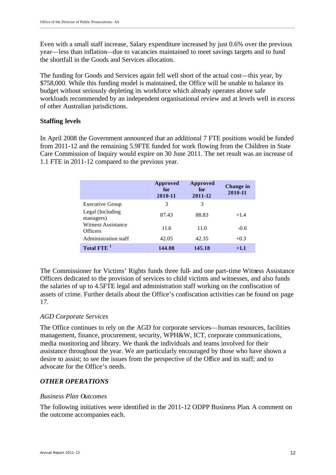Even with a small staff increase, Salary expenditure increased by just 0.6% over the previous year—less than inflation—due to vacancies maintained to meet savings targets and to fund the shortfall in the Goods and Services allocation.

The funding for Goods and Services again fell well short of the actual cost—this year, by \$758,000. While this funding model is maintained, the Office will be unable to balance its budget without seriously depleting its workforce which already operates above safe workloads recommended by an independent organisational review and at levels well in excess of other Australian jurisdictions.

## **Staffing levels**

In April 2008 the Government announced that an additional 7 FTE positions would be funded from 2011-12 and the remaining 5.9FTE funded for work flowing from the Children in State Care Commission of Inquiry would expire on 30 June 2011. The net result was an increase of 1.1 FTE in 2011-12 compared to the previous year.

|                                       | Approved<br>for<br>2010-11 | Approved<br>for<br>2011-12 | Change in<br>2010-11 |
|---------------------------------------|----------------------------|----------------------------|----------------------|
| <b>Executive Group</b>                | 3                          | 3                          |                      |
| Legal (Including<br>managers)         | 87.43                      | 88.83                      | $+1.4$               |
| Witness Assistance<br><b>Officers</b> | 11.6                       | 11.0                       | $-0.6$               |
| Administration staff                  | 42.05                      | 42.35                      | $+0.3$               |
| Total FTE <sup>1</sup>                | 144.08                     | 145.18                     | $+1.1$               |

The Commissioner for Victims' Rights funds three full- and one part-time Witness Assistance Officers dedicated to the provision of services to child victims and witnesses, and also funds the salaries of up to 4.5FTE legal and administration staff working on the confiscation of assets of crime. Further details about the Office's confiscation activities can be found on page 17.

## *AGD Corporate Services*

The Office continues to rely on the AGD for corporate services—human resources, facilities management, finance, procurement, security, WPH&W, ICT, corporate communications, media monitoring and library. We thank the individuals and teams involved for their assistance throughout the year. We are particularly encouraged by those who have shown a desire to assist; to see the issues from the perspective of the Office and its staff; and to advocate for the Office's needs.

## *OTHER OPERATIONS*

#### *Business Plan Outcomes*

The following initiatives were identified in the 2011-12 ODPP Business Plan. A comment on the outcome accompanies each.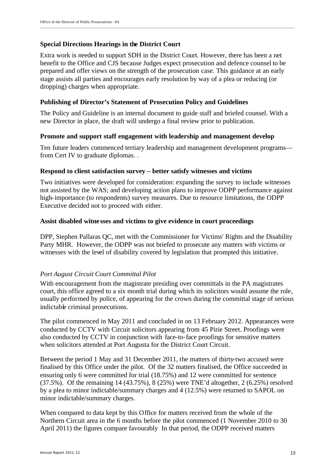## **Special Directions Hearings in the District Court**

Extra work is needed to support SDH in the District Court. However, there has been a net benefit to the Office and CJS because Judges expect prosecution and defence counsel to be prepared and offer views on the strength of the prosecution case. This guidance at an early stage assists all parties and encourages early resolution by way of a plea or reducing (or dropping) charges when appropriate.

## **Publishing of Director's Statement of Prosecution Policy and Guidelines**

The Policy and Guideline is an internal document to guide staff and briefed counsel. With a new Director in place, the draft will undergo a final review prior to publication.

## **Promote and support staff engagement with leadership and management develop**

Ten future leaders commenced tertiary leadership and management development programs from Cert IV to graduate diplomas. .

#### **Respond to client satisfaction survey – better satisfy witnesses and victims**

Two initiatives were developed for consideration: expanding the survey to include witnesses not assisted by the WAS; and developing action plans to improve ODPP performance against high-importance (to respondents) survey measures. Due to resource limitations, the ODPP Executive decided not to proceed with either.

#### **Assist disabled witne sses and victims to give evidence in court proceedings**

DPP, Stephen Pallaras QC, met with the Commissioner for Victims' Rights and the Disability Party MHR. However, the ODPP was not briefed to prosecute any matters with victims or witnesses with the level of disability covered by legislation that prompted this initiative.

## *Port August Circuit Court Committal Pilot*

With encouragement from the magistrate presiding over committals in the PA magistrates court, this office agreed to a six month trial during which its solicitors would assume the role, usually performed by police, of appearing for the crown during the committal stage of serious indictable criminal prosecutions.

The pilot commenced in May 2011 and concluded in on 13 February 2012. Appearances were conducted by CCTV with Circuit solicitors appearing from 45 Pirie Street. Proofings were also conducted by CCTV in conjunction with face-to-face proofings for sensitive matters when solicitors attended at Port Augusta for the District Court Circuit.

Between the period 1 May and 31 December 2011, the matters of thirty-two accused were finalised by this Office under the pilot. Of the 32 matters finalised, the Office succeeded in ensuring only 6 were committed for trial (18.75%) and 12 were committed for sentence (37.5%). Of the remaining 14 (43.75%), 8 (25%) were TNE'd altogether, 2 (6.25%) resolved by a plea to minor indictable/summary charges and 4 (12.5%) were returned to SAPOL on minor indictable/summary charges.

When compared to data kept by this Office for matters received from the whole of the Northern Circuit area in the 6 months before the pilot commenced (1 November 2010 to 30 April 2011) the figures compare favourably In that period, the ODPP received matters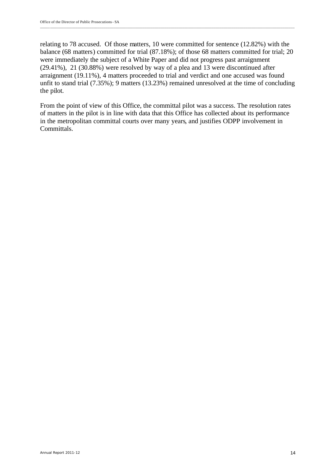relating to 78 accused. Of those matters, 10 were committed for sentence (12.82%) with the balance (68 matters) committed for trial (87.18%); of those 68 matters committed for trial; 20 were immediately the subject of a White Paper and did not progress past arraignment (29.41%), 21 (30.88%) were resolved by way of a plea and 13 were discontinued after arraignment (19.11%), 4 matters proceeded to trial and verdict and one accused was found unfit to stand trial (7.35%); 9 matters (13.23%) remained unresolved at the time of concluding the pilot.

\_\_\_\_\_\_\_\_\_\_\_\_\_\_\_\_\_\_\_\_\_\_\_\_\_\_\_\_\_\_\_\_\_\_\_\_\_\_\_\_\_\_\_\_\_\_\_\_\_\_\_\_\_\_\_\_\_\_\_\_\_\_\_\_\_\_\_\_\_\_\_\_\_\_\_\_\_\_\_\_\_\_\_\_\_\_\_\_\_\_\_\_\_\_\_\_\_\_\_\_\_\_\_\_\_\_\_\_\_\_\_\_\_\_\_\_\_\_\_\_\_\_\_\_\_\_\_\_\_

From the point of view of this Office, the committal pilot was a success. The resolution rates of matters in the pilot is in line with data that this Office has collected about its performance in the metropolitan committal courts over many years, and justifies ODPP involvement in Committals.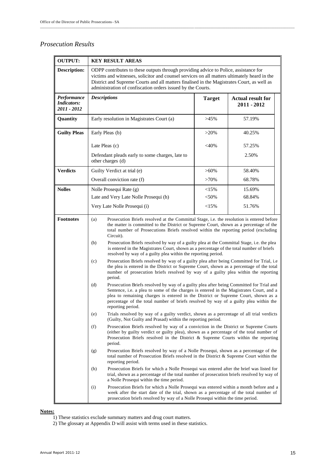## *Prosecution Results*

| <b>OUTPUT:</b>                                   |                                                                                                                                                                                                                                                                                                                                                                                                                                                                                                                                                                 | <b>KEY RESULT AREAS</b>                                                                                                                                                                                                                                                                                                                           |               |                                           |  |  |  |  |  |
|--------------------------------------------------|-----------------------------------------------------------------------------------------------------------------------------------------------------------------------------------------------------------------------------------------------------------------------------------------------------------------------------------------------------------------------------------------------------------------------------------------------------------------------------------------------------------------------------------------------------------------|---------------------------------------------------------------------------------------------------------------------------------------------------------------------------------------------------------------------------------------------------------------------------------------------------------------------------------------------------|---------------|-------------------------------------------|--|--|--|--|--|
| <b>Description:</b>                              |                                                                                                                                                                                                                                                                                                                                                                                                                                                                                                                                                                 | ODPP contributes to these outputs through providing advice to Police, assistance for<br>victims and witnesses, solicitor and counsel services on all matters ultimately heard in the<br>District and Supreme Courts and all matters finalised in the Magistrates Court, as well as<br>administration of confiscation orders issued by the Courts. |               |                                           |  |  |  |  |  |
| Performance<br><b>Indicators:</b><br>2011 - 2012 |                                                                                                                                                                                                                                                                                                                                                                                                                                                                                                                                                                 | <b>Descriptions</b>                                                                                                                                                                                                                                                                                                                               | <b>Target</b> | <b>Actual result for</b><br>$2011 - 2012$ |  |  |  |  |  |
| Quantity                                         |                                                                                                                                                                                                                                                                                                                                                                                                                                                                                                                                                                 | Early resolution in Magistrates Court (a)                                                                                                                                                                                                                                                                                                         | $>45\%$       | 57.19%                                    |  |  |  |  |  |
| <b>Guilty Pleas</b>                              |                                                                                                                                                                                                                                                                                                                                                                                                                                                                                                                                                                 | Early Pleas (b)                                                                                                                                                                                                                                                                                                                                   | $>20\%$       | 40.25%                                    |  |  |  |  |  |
|                                                  |                                                                                                                                                                                                                                                                                                                                                                                                                                                                                                                                                                 | Late Pleas (c)                                                                                                                                                                                                                                                                                                                                    | <40%          | 57.25%                                    |  |  |  |  |  |
|                                                  |                                                                                                                                                                                                                                                                                                                                                                                                                                                                                                                                                                 | Defendant pleads early to some charges, late to<br>other charges (d)                                                                                                                                                                                                                                                                              |               | 2.50%                                     |  |  |  |  |  |
| <b>Verdicts</b>                                  |                                                                                                                                                                                                                                                                                                                                                                                                                                                                                                                                                                 | Guilty Verdict at trial (e)                                                                                                                                                                                                                                                                                                                       | $>60\%$       | 58.40%                                    |  |  |  |  |  |
|                                                  |                                                                                                                                                                                                                                                                                                                                                                                                                                                                                                                                                                 | Overall conviction rate (f)                                                                                                                                                                                                                                                                                                                       | $>70\%$       | 68.78%                                    |  |  |  |  |  |
| <b>Nolles</b>                                    |                                                                                                                                                                                                                                                                                                                                                                                                                                                                                                                                                                 | Nolle Prosequi Rate (g)                                                                                                                                                                                                                                                                                                                           | <15%          | 15.69%                                    |  |  |  |  |  |
|                                                  |                                                                                                                                                                                                                                                                                                                                                                                                                                                                                                                                                                 | Late and Very Late Nolle Prosequi (h)                                                                                                                                                                                                                                                                                                             | $<$ 50%       | 68.84%                                    |  |  |  |  |  |
|                                                  |                                                                                                                                                                                                                                                                                                                                                                                                                                                                                                                                                                 | Very Late Nolle Prosequi (i)                                                                                                                                                                                                                                                                                                                      | <15%          | 51.76%                                    |  |  |  |  |  |
| <b>Footnotes</b>                                 | Prosecution Briefs resolved at the Committal Stage, i.e. the resolution is entered before<br>(a)<br>the matter is committed to the District or Supreme Court, shown as a percentage of the<br>total number of Prosecutions Briefs resolved within the reporting period (excluding<br>Circuit).<br>Prosecution Briefs resolved by way of a guilty plea at the Committal Stage, i.e. the plea<br>(b)<br>is entered in the Magistrates Court, shown as a percentage of the total number of briefs<br>resolved by way of a guilty plea within the reporting period. |                                                                                                                                                                                                                                                                                                                                                   |               |                                           |  |  |  |  |  |
|                                                  | (c)                                                                                                                                                                                                                                                                                                                                                                                                                                                                                                                                                             | Prosecution Briefs resolved by way of a guilty plea after being Committed for Trial, i.e<br>the plea is entered in the District or Supreme Court, shown as a percentage of the total<br>number of prosecution briefs resolved by way of a guilty plea within the reporting<br>period.                                                             |               |                                           |  |  |  |  |  |
|                                                  | Prosecution Briefs resolved by way of a guilty plea after being Committed for Trial and<br>(d)<br>Sentence, i.e. a plea to some of the charges is entered in the Magistrates Court, and a<br>plea to remaining charges is entered in the District or Supreme Court, shown as a<br>percentage of the total number of briefs resolved by way of a guilty plea within the<br>reporting period.                                                                                                                                                                     |                                                                                                                                                                                                                                                                                                                                                   |               |                                           |  |  |  |  |  |
|                                                  | (e)                                                                                                                                                                                                                                                                                                                                                                                                                                                                                                                                                             | Trials resolved by way of a guilty verdict, shown as a percentage of all trial verdicts<br>(Guilty, Not Guilty and Prasad) within the reporting period.                                                                                                                                                                                           |               |                                           |  |  |  |  |  |
|                                                  | (f)                                                                                                                                                                                                                                                                                                                                                                                                                                                                                                                                                             | Prosecution Briefs resolved by way of a conviction in the District or Supreme Courts<br>(either by guilty verdict or guilty plea), shown as a percentage of the total number of<br>Prosecution Briefs resolved in the District & Supreme Courts within the reporting<br>period.                                                                   |               |                                           |  |  |  |  |  |
|                                                  | (g)                                                                                                                                                                                                                                                                                                                                                                                                                                                                                                                                                             | Prosecution Briefs resolved by way of a Nolle Prosequi, shown as a percentage of the<br>total number of Prosecution Briefs resolved in the District & Supreme Court within the<br>reporting period.                                                                                                                                               |               |                                           |  |  |  |  |  |
|                                                  | (h)                                                                                                                                                                                                                                                                                                                                                                                                                                                                                                                                                             | Prosecution Briefs for which a Nolle Prosequi was entered after the brief was listed for<br>trial, shown as a percentage of the total number of prosecution briefs resolved by way of<br>a Nolle Prosequi within the time period.                                                                                                                 |               |                                           |  |  |  |  |  |
|                                                  | (i)                                                                                                                                                                                                                                                                                                                                                                                                                                                                                                                                                             | Prosecution Briefs for which a Nolle Prosequi was entered within a month before and a<br>week after the start date of the trial, shown as a percentage of the total number of<br>prosecution briefs resolved by way of a Nolle Prosequi within the time period.                                                                                   |               |                                           |  |  |  |  |  |

\_\_\_\_\_\_\_\_\_\_\_\_\_\_\_\_\_\_\_\_\_\_\_\_\_\_\_\_\_\_\_\_\_\_\_\_\_\_\_\_\_\_\_\_\_\_\_\_\_\_\_\_\_\_\_\_\_\_\_\_\_\_\_\_\_\_\_\_\_\_\_\_\_\_\_\_\_\_ \_\_\_\_\_\_\_\_\_\_\_\_\_\_\_\_\_\_\_\_\_\_\_\_\_\_\_\_\_\_\_\_\_\_\_\_\_\_\_\_\_\_\_\_\_\_\_\_\_\_\_

#### **Notes:**

- 1) These statistics exclude summary matters and drug court matters.
- 2) The glossary at Appendix D will assist with terms used in these statistics.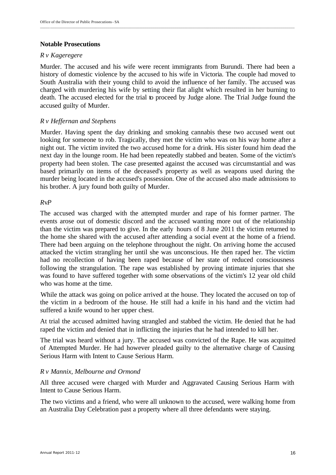## **Notable Prosecutions**

## *R v Kageregere*

Murder. The accused and his wife were recent immigrants from Burundi. There had been a history of domestic violence by the accused to his wife in Victoria. The couple had moved to South Australia with their young child to avoid the influence of her family. The accused was charged with murdering his wife by setting their flat alight which resulted in her burning to death. The accused elected for the trial to proceed by Judge alone. The Trial Judge found the accused guilty of Murder.

## *R v Heffernan and Stephens*

Murder. Having spent the day drinking and smoking cannabis these two accused went out looking for someone to rob. Tragically, they met the victim who was on his way home after a night out. The victim invited the two accused home for a drink. His sister found him dead the next day in the lounge room. He had been repeatedly stabbed and beaten. Some of the victim's property had been stolen. The case presented against the accused was circumstantial and was based primarily on items of the deceased's property as well as weapons used during the murder being located in the accused's possession. One of the accused also made admissions to his brother. A jury found both guilty of Murder.

## *R*v*P*

The accused was charged with the attempted murder and rape of his former partner. The events arose out of domestic discord and the accused wanting more out of the relationship than the victim was prepared to give. In the early hours of 8 June 2011 the victim returned to the home she shared with the accused after attending a social event at the home of a friend. There had been arguing on the telephone throughout the night. On arriving home the accused attacked the victim strangling her until she was unconscious. He then raped her. The victim had no recollection of having been raped because of her state of reduced consciousness following the strangulation. The rape was established by proving intimate injuries that she was found to have suffered together with some observations of the victim's 12 year old child who was home at the time.

While the attack was going on police arrived at the house. They located the accused on top of the victim in a bedroom of the house. He still had a knife in his hand and the victim had suffered a knife wound to her upper chest.

At trial the accused admitted having strangled and stabbed the victim. He denied that he had raped the victim and denied that in inflicting the injuries that he had intended to kill her.

The trial was heard without a jury. The accused was convicted of the Rape. He was acquitted of Attempted Murder. He had however pleaded guilty to the alternative charge of Causing Serious Harm with Intent to Cause Serious Harm.

## *R v Mannix, Melbourne and Ormond*

All three accused were charged with Murder and Aggravated Causing Serious Harm with Intent to Cause Serious Harm.

The two victims and a friend, who were all unknown to the accused, were walking home from an Australia Day Celebration past a property where all three defendants were staying.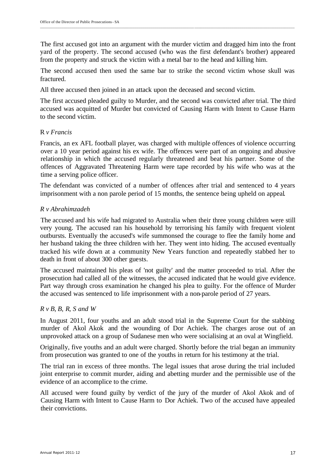The first accused got into an argument with the murder victim and dragged him into the front yard of the property. The second accused (who was the first defendant's brother) appeared from the property and struck the victim with a metal bar to the head and killing him.

The second accused then used the same bar to strike the second victim whose skull was fractured.

All three accused then joined in an attack upon the deceased and second victim.

The first accused pleaded guilty to Murder, and the second was convicted after trial. The third accused was acquitted of Murder but convicted of Causing Harm with Intent to Cause Harm to the second victim.

## R *v Francis*

Francis, an ex AFL football player, was charged with multiple offences of violence occurring over a 10 year period against his ex wife. The offences were part of an ongoing and abusive relationship in which the accused regularly threatened and beat his partner. Some of the offences of Aggravated Threatening Harm were tape recorded by his wife who was at the time a serving police officer.

The defendant was convicted of a number of offences after trial and sentenced to 4 years imprisonment with a non parole period of 15 months, the sentence being upheld on appeal.

## *R v Abrahimzadeh*

The accused and his wife had migrated to Australia when their three young children were still very young. The accused ran his household by terrorising his family with frequent violent outbursts. Eventually the accused's wife summonsed the courage to flee the family home and her husband taking the three children with her. They went into hiding. The accused eventually tracked his wife down at a community New Years function and repeatedly stabbed her to death in front of about 300 other guests.

The accused maintained his pleas of 'not guilty' and the matter proceeded to trial. After the prosecution had called all of the witnesses, the accused indicated that he would give evidence. Part way through cross examination he changed his plea to guilty. For the offence of Murder the accused was sentenced to life imprisonment with a non-parole period of 27 years.

## *R v B, B, R, S and W*

In August 2011, four youths and an adult stood trial in the Supreme Court for the stabbing murder of Akol Akok and the wounding of Dor Achiek. The charges arose out of an unprovoked attack on a group of Sudanese men who were socialising at an oval at Wingfield.

Originally, five youths and an adult were charged. Shortly before the trial began an immunity from prosecution was granted to one of the youths in return for his testimony at the trial.

The trial ran in excess of three months. The legal issues that arose during the trial included joint enterprise to commit murder, aiding and abetting murder and the permissible use of the evidence of an accomplice to the crime.

All accused were found guilty by verdict of the jury of the murder of Akol Akok and of Causing Harm with Intent to Cause Harm to Dor Achiek. Two of the accused have appealed their convictions.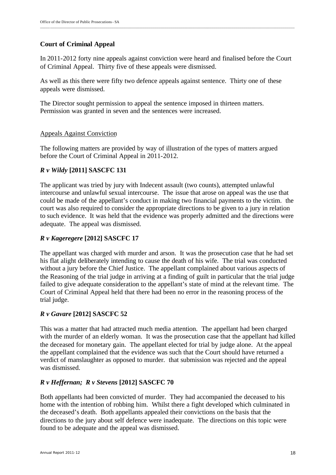## **Court of Criminal Appeal**

In 2011-2012 forty nine appeals against conviction were heard and finalised before the Court of Criminal Appeal. Thirty five of these appeals were dismissed.

As well as this there were fifty two defence appeals against sentence. Thirty one of these appeals were dismissed.

The Director sought permission to appeal the sentence imposed in thirteen matters. Permission was granted in seven and the sentences were increased.

## Appeals Against Conviction

The following matters are provided by way of illustration of the types of matters argued before the Court of Criminal Appeal in 2011-2012.

## *R v Wildy* **[2011] SASCFC 131**

The applicant was tried by jury with Indecent assault (two counts), attempted unlawful intercourse and unlawful sexual intercourse. The issue that arose on appeal was the use that could be made of the appellant's conduct in making two financial payments to the victim. the court was also required to consider the appropriate directions to be given to a jury in relation to such evidence. It was held that the evidence was properly admitted and the directions were adequate. The appeal was dismissed.

## *R v Kageregere* **[2012] SASCFC 17**

The appellant was charged with murder and arson. It was the prosecution case that he had set his flat alight deliberately intending to cause the death of his wife. The trial was conducted without a jury before the Chief Justice. The appellant complained about various aspects of the Reasoning of the trial judge in arriving at a finding of guilt in particular that the trial judge failed to give adequate consideration to the appellant's state of mind at the relevant time. The Court of Criminal Appeal held that there had been no error in the reasoning process of the trial judge.

## *R v Gavare* **[2012] SASCFC 52**

This was a matter that had attracted much media attention. The appellant had been charged with the murder of an elderly woman. It was the prosecution case that the appellant had killed the deceased for monetary gain. The appellant elected for trial by judge alone. At the appeal the appellant complained that the evidence was such that the Court should have returned a verdict of manslaughter as opposed to murder. that submission was rejected and the appeal was dismissed.

## *R v Heffernan; R v Stevens* **[2012] SASCFC 70**

Both appellants had been convicted of murder. They had accompanied the deceased to his home with the intention of robbing him. Whilst there a fight developed which culminated in the deceased's death. Both appellants appealed their convictions on the basis that the directions to the jury about self defence were inadequate. The directions on this topic were found to be adequate and the appeal was dismissed.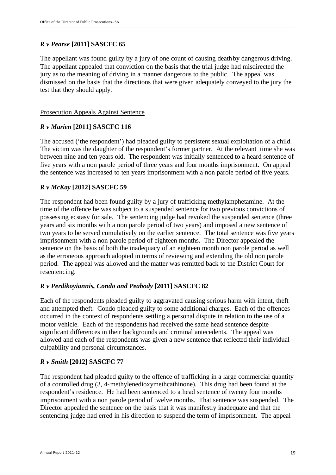## *R v Pearse* **[2011] SASCFC 65**

The appellant was found guilty by a jury of one count of causing death by dangerous driving. The appellant appealed that conviction on the basis that the trial judge had misdirected the jury as to the meaning of driving in a manner dangerous to the public. The appeal was dismissed on the basis that the directions that were given adequately conveyed to the jury the test that they should apply.

## Prosecution Appeals Against Sentence

## *R v Marien* **[2011] SASCFC 116**

The accused ('the respondent') had pleaded guilty to persistent sexual exploitation of a child. The victim was the daughter of the respondent's former partner. At the relevant time she was between nine and ten years old. The respondent was initially sentenced to a heard sentence of five years with a non parole period of three years and four months imprisonment. On appeal the sentence was increased to ten years imprisonment with a non parole period of five years.

## *R v McKay* **[2012] SASCFC 59**

The respondent had been found guilty by a jury of trafficking methylamphetamine. At the time of the offence he was subject to a suspended sentence for two previous convictions of possessing ecstasy for sale. The sentencing judge had revoked the suspended sentence (three years and six months with a non parole period of two years) and imposed a new sentence of two years to be served cumulatively on the earlier sentence. The total sentence was five years imprisonment with a non parole period of eighteen months. The Director appealed the sentence on the basis of both the inadequacy of an eighteen month non parole period as well as the erroneous approach adopted in terms of reviewing and extending the old non parole period. The appeal was allowed and the matter was remitted back to the District Court for resentencing.

## *R v Perdikoyiannis, Condo and Peabody* **[2011] SASCFC 82**

Each of the respondents pleaded guilty to aggravated causing serious harm with intent, theft and attempted theft. Condo pleaded guilty to some additional charges. Each of the offences occurred in the context of respondents settling a personal dispute in relation to the use of a motor vehicle. Each of the respondents had received the same head sentence despite significant differences in their backgrounds and criminal antecedents. The appeal was allowed and each of the respondents was given a new sentence that reflected their individual culpability and personal circumstances.

## *R v Smith* **[2012] SASCFC 77**

The respondent had pleaded guilty to the offence of trafficking in a large commercial quantity of a controlled drug (3, 4-methylenedioxymethcathinone). This drug had been found at the respondent's residence. He had been sentenced to a head sentence of twenty four months imprisonment with a non parole period of twelve months. That sentence was suspended. The Director appealed the sentence on the basis that it was manifestly inadequate and that the sentencing judge had erred in his direction to suspend the term of imprisonment. The appeal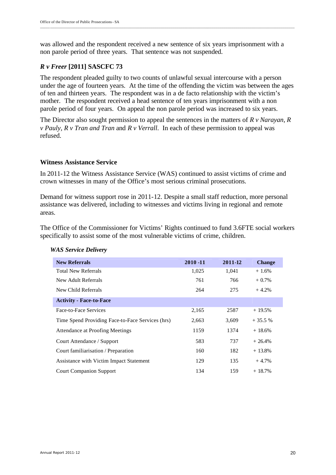was allowed and the respondent received a new sentence of six years imprisonment with a non parole period of three years. That sentence was not suspended.

\_\_\_\_\_\_\_\_\_\_\_\_\_\_\_\_\_\_\_\_\_\_\_\_\_\_\_\_\_\_\_\_\_\_\_\_\_\_\_\_\_\_\_\_\_\_\_\_\_\_\_\_\_\_\_\_\_\_\_\_\_\_\_\_\_\_\_\_\_\_\_\_\_\_\_\_\_\_\_\_\_\_\_\_\_\_\_\_\_\_\_\_\_\_\_\_\_\_\_\_\_\_\_\_\_\_\_\_\_\_\_\_\_\_\_\_\_\_\_\_\_\_\_\_\_\_\_\_\_

## *R v Freer* **[2011] SASCFC 73**

The respondent pleaded guilty to two counts of unlawful sexual intercourse with a person under the age of fourteen years. At the time of the offending the victim was between the ages of ten and thirteen years. The respondent was in a de facto relationship with the victim's mother. The respondent received a head sentence of ten years imprisonment with a non parole period of four years. On appeal the non parole period was increased to six years.

The Director also sought permission to appeal the sentences in the matters of *R v Narayan, R v Pauly, R v Tran and Tran* and *R v Verrall*. In each of these permission to appeal was refused.

#### **Witness Assistance Service**

In 2011-12 the Witness Assistance Service (WAS) continued to assist victims of crime and crown witnesses in many of the Office's most serious criminal prosecutions.

Demand for witness support rose in 2011-12. Despite a small staff reduction, more personal assistance was delivered, including to witnesses and victims living in regional and remote areas.

The Office of the Commissioner for Victims' Rights continued to fund 3.6FTE social workers specifically to assist some of the most vulnerable victims of crime, children.

| <b>New Referrals</b>                             | $2010 - 11$ | 2011-12 | <b>Change</b> |
|--------------------------------------------------|-------------|---------|---------------|
| <b>Total New Referrals</b>                       | 1,025       | 1,041   | $+1.6%$       |
| New Adult Referrals                              | 761         | 766     | $+0.7\%$      |
| New Child Referrals                              | 264         | 275     | $+4.2%$       |
| <b>Activity - Face-to-Face</b>                   |             |         |               |
| Face-to-Face Services                            | 2,165       | 2587    | $+19.5%$      |
| Time Spend Providing Face-to-Face Services (hrs) | 2,663       | 3,609   | $+35.5%$      |
| Attendance at Proofing Meetings                  | 1159        | 1374    | $+18.6%$      |
| Court Attendance / Support                       | 583         | 737     | $+26.4%$      |
| Court familiarisation / Preparation              | 160         | 182     | $+13.8%$      |
| Assistance with Victim Impact Statement          | 129         | 135     | $+4.7%$       |
| <b>Court Companion Support</b>                   | 134         | 159     | $+18.7%$      |

#### *WAS Service Delivery*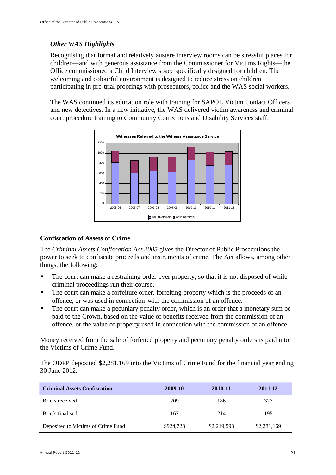## *Other WAS Highlights*

Recognising that formal and relatively austere interview rooms can be stressful places for children—and with generous assistance from the Commissioner for Victims Rights—the Office commissioned a Child Interview space specifically designed for children. The welcoming and colourful environment is designed to reduce stress on children participating in pre-trial proofings with prosecutors, police and the WAS social workers.

The WAS continued its education role with training for SAPOL Victim Contact Officers and new detectives. In a new initiative, the WAS delivered victim awareness and criminal court procedure training to Community Corrections and Disability Services staff.



## **Confiscation of Assets of Crime**

The *Criminal Assets Confiscation Act 2005* gives the Director of Public Prosecutions the power to seek to confiscate proceeds and instruments of crime. The Act allows, among other things, the following:

- The court can make a restraining order over property, so that it is not disposed of while criminal proceedings run their course.
- The court can make a forfeiture order, forfeiting property which is the proceeds of an offence, or was used in connection with the commission of an offence.
- The court can make a pecuniary penalty order, which is an order that a monetary sum be paid to the Crown, based on the value of benefits received from the commission of an offence, or the value of property used in connection with the commission of an offence.

Money received from the sale of forfeited property and pecuniary penalty orders is paid into the Victims of Crime Fund.

The ODPP deposited \$2,281,169 into the Victims of Crime Fund for the financial year ending 30 June 2012.

| <b>Criminal Assets Confiscation</b> | 2009-10   | 2010-11     | 2011-12     |
|-------------------------------------|-----------|-------------|-------------|
| Briefs received                     | 209       | 186         | 327         |
| Briefs finalised                    | 167       | 214         | 195         |
| Deposited to Victims of Crime Fund  | \$924,728 | \$2,219,598 | \$2,281,169 |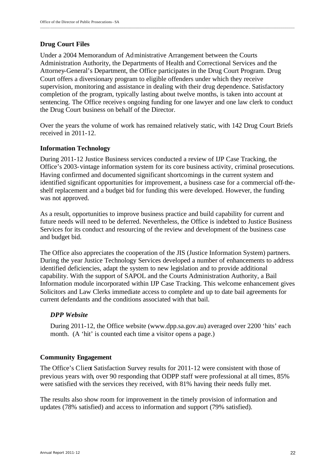## **Drug Court Files**

Under a 2004 Memorandum of Administrative Arrangement between the Courts Administration Authority, the Departments of Health and Correctional Services and the Attorney-General's Department, the Office participates in the Drug Court Program. Drug Court offers a diversionary program to eligible offenders under which they receive supervision, monitoring and assistance in dealing with their drug dependence. Satisfactory completion of the program, typically lasting about twelve months, is taken into account at sentencing. The Office receives ongoing funding for one lawyer and one law clerk to conduct the Drug Court business on behalf of the Director.

\_\_\_\_\_\_\_\_\_\_\_\_\_\_\_\_\_\_\_\_\_\_\_\_\_\_\_\_\_\_\_\_\_\_\_\_\_\_\_\_\_\_\_\_\_\_\_\_\_\_\_\_\_\_\_\_\_\_\_\_\_\_\_\_\_\_\_\_\_\_\_\_\_\_\_\_\_\_\_\_\_\_\_\_\_\_\_\_\_\_\_\_\_\_\_\_\_\_\_\_\_\_\_\_\_\_\_\_\_\_\_\_\_\_\_\_\_\_\_\_\_\_\_\_\_\_\_\_\_

Over the years the volume of work has remained relatively static, with 142 Drug Court Briefs received in 2011-12.

## **Information Technology**

During 2011-12 Justice Business services conducted a review of IJP Case Tracking, the Office's 2003-vintage information system for its core business activity, criminal prosecutions. Having confirmed and documented significant shortcomings in the current system and identified significant opportunities for improvement, a business case for a commercial off-theshelf replacement and a budget bid for funding this were developed. However, the funding was not approved.

As a result, opportunities to improve business practice and build capability for current and future needs will need to be deferred. Nevertheless, the Office is indebted to Justice Business Services for its conduct and resourcing of the review and development of the business case and budget bid.

The Office also appreciates the cooperation of the JIS (Justice Information System) partners. During the year Justice Technology Services developed a number of enhancements to address identified deficiencies, adapt the system to new legislation and to provide additional capability. With the support of SAPOL and the Courts Administration Authority, a Bail Information module incorporated within IJP Case Tracking. This welcome enhancement gives Solicitors and Law Clerks immediate access to complete and up to date bail agreements for current defendants and the conditions associated with that bail.

## *DPP Website*

During 2011-12, the Office website (www.dpp.sa.gov.au) averaged over 2200 'hits' each month. (A 'hit' is counted each time a visitor opens a page.)

## **Community Engagement**

The Office's Client Satisfaction Survey results for 2011-12 were consistent with those of previous years with, over 90 responding that ODPP staff were professional at all times, 85% were satisfied with the services they received, with 81% having their needs fully met.

The results also show room for improvement in the timely provision of information and updates (78% satisfied) and access to information and support (79% satisfied).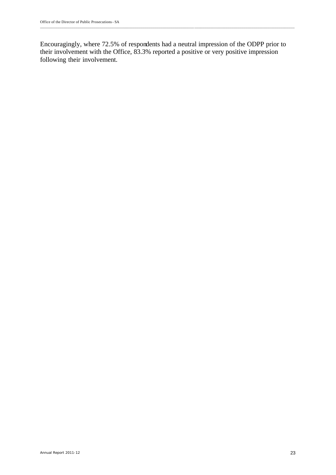Encouragingly, where 72.5% of respondents had a neutral impression of the ODPP prior to their involvement with the Office, 83.3% reported a positive or very positive impression following their involvement.

\_\_\_\_\_\_\_\_\_\_\_\_\_\_\_\_\_\_\_\_\_\_\_\_\_\_\_\_\_\_\_\_\_\_\_\_\_\_\_\_\_\_\_\_\_\_\_\_\_\_\_\_\_\_\_\_\_\_\_\_\_\_\_\_\_\_\_\_\_\_\_\_\_\_\_\_\_\_ \_\_\_\_\_\_\_\_\_\_\_\_\_\_\_\_\_\_\_\_\_\_\_\_\_\_\_\_\_\_\_\_\_\_\_\_\_\_\_\_\_\_\_\_\_\_\_\_\_\_\_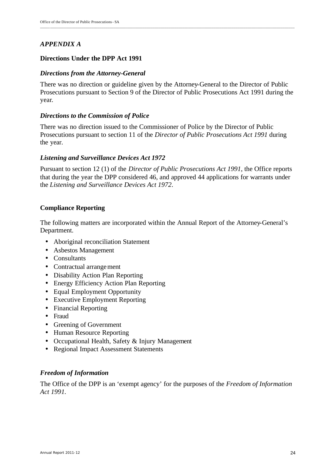## *APPENDIX A*

## **Directions Under the DPP Act 1991**

## *Directions from the Attorney-General*

There was no direction or guideline given by the Attorney-General to the Director of Public Prosecutions pursuant to Section 9 of the Director of Public Prosecutions Act 1991 during the year.

\_\_\_\_\_\_\_\_\_\_\_\_\_\_\_\_\_\_\_\_\_\_\_\_\_\_\_\_\_\_\_\_\_\_\_\_\_\_\_\_\_\_\_\_\_\_\_\_\_\_\_\_\_\_\_\_\_\_\_\_\_\_\_\_\_\_\_\_\_\_\_\_\_\_\_\_\_\_\_\_\_\_\_\_\_\_\_\_\_\_\_\_\_\_\_\_\_\_\_\_\_\_\_\_\_\_\_\_\_\_\_\_\_\_\_\_\_\_\_\_\_\_\_\_\_\_\_\_\_

## *Directions to the Commission of Police*

There was no direction issued to the Commissioner of Police by the Director of Public Prosecutions pursuant to section 11 of the *Director of Public Prosecutions Act 1991* during the year.

## *Listening and Surveillance Devices Act 1972*

Pursuant to section 12 (1) of the *Director of Public Prosecutions Act 1991*, the Office reports that during the year the DPP considered 46, and approved 44 applications for warrants under the *Listening and Surveillance Devices Act 1972*.

## **Compliance Reporting**

The following matters are incorporated within the Annual Report of the Attorney-General's Department.

- Aboriginal reconciliation Statement
- Asbestos Management
- Consultants
- Contractual arrangement
- Disability Action Plan Reporting
- Energy Efficiency Action Plan Reporting
- Equal Employment Opportunity
- Executive Employment Reporting
- Financial Reporting
- Fraud
- Greening of Government
- Human Resource Reporting
- Occupational Health, Safety & Injury Management
- Regional Impact Assessment Statements

## *Freedom of Information*

The Office of the DPP is an 'exempt agency' for the purposes of the *Freedom of Information Act 1991.*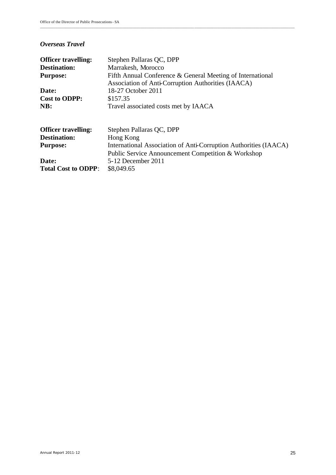### *Overseas Travel*

| <b>Officer travelling:</b><br><b>Destination:</b><br><b>Purpose:</b> | Stephen Pallaras QC, DPP<br>Marrakesh, Morocco<br>Fifth Annual Conference & General Meeting of International |
|----------------------------------------------------------------------|--------------------------------------------------------------------------------------------------------------|
| Date:                                                                | Association of Anti-Corruption Authorities (IAACA)<br>18-27 October 2011                                     |
| <b>Cost to ODPP:</b>                                                 | \$157.35                                                                                                     |
| NB:                                                                  | Travel associated costs met by IAACA                                                                         |
| <b>Officer travelling:</b>                                           | Stephen Pallaras QC, DPP                                                                                     |
| <b>Destination:</b>                                                  | Hong Kong                                                                                                    |
| <b>Purpose:</b>                                                      | International Association of Anti-Corruption Authorities (IAACA)                                             |
|                                                                      | Public Service Announcement Competition & Workshop                                                           |
| Date:                                                                | 5-12 December 2011                                                                                           |
| <b>Total Cost to ODPP:</b>                                           | \$8,049.65                                                                                                   |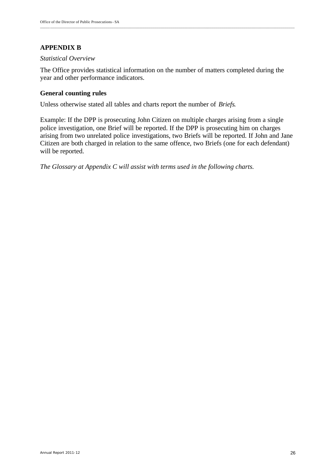# **APPENDIX B**

## *Statistical Overview*

The Office provides statistical information on the number of matters completed during the year and other performance indicators.

## **General counting rules**

Unless otherwise stated all tables and charts report the number of *Briefs*.

Example: If the DPP is prosecuting John Citizen on multiple charges arising from a single police investigation, one Brief will be reported. If the DPP is prosecuting him on charges arising from two unrelated police investigations, two Briefs will be reported. If John and Jane Citizen are both charged in relation to the same offence, two Briefs (one for each defendant) will be reported.

*The Glossary at Appendix C will assist with terms used in the following charts.*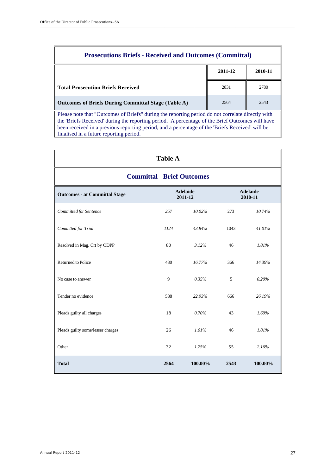| <b>Prosecutions Briefs - Received and Outcomes (Committal)</b>                                                                                                                                                                                                                                         |      |      |  |  |  |  |
|--------------------------------------------------------------------------------------------------------------------------------------------------------------------------------------------------------------------------------------------------------------------------------------------------------|------|------|--|--|--|--|
| 2011-12<br>2010-11                                                                                                                                                                                                                                                                                     |      |      |  |  |  |  |
| <b>Total Prosecution Briefs Received</b>                                                                                                                                                                                                                                                               | 2831 | 2780 |  |  |  |  |
| Outcomes of Briefs During Committal Stage (Table A)                                                                                                                                                                                                                                                    | 2564 | 2543 |  |  |  |  |
| Please note that "Outcomes of Briefs" during the reporting period do not correlate directly with<br>the 'Briefs Received' during the reporting period. A percentage of the Brief Outcomes will have<br>been received in a previous reporting period, and a percentage of the 'Briefs Received' will be |      |      |  |  |  |  |

\_\_\_\_\_\_\_\_\_\_\_\_\_\_\_\_\_\_\_\_\_\_\_\_\_\_\_\_\_\_\_\_\_\_\_\_\_\_\_\_\_\_\_\_\_\_\_\_\_\_\_\_\_\_\_\_\_\_\_\_\_\_\_\_\_\_\_\_\_\_\_\_\_\_\_\_\_\_ \_\_\_\_\_\_\_\_\_\_\_\_\_\_\_\_\_\_\_\_\_\_\_\_\_\_\_\_\_\_\_\_\_\_\_\_\_\_\_\_\_\_\_\_\_\_\_\_\_\_\_

finalised in a future reporting period.

| <b>Table A</b>                       |      |                            |      |                            |  |  |  |  |
|--------------------------------------|------|----------------------------|------|----------------------------|--|--|--|--|
| <b>Committal - Brief Outcomes</b>    |      |                            |      |                            |  |  |  |  |
| <b>Outcomes - at Committal Stage</b> |      | <b>Adelaide</b><br>2011-12 |      | <b>Adelaide</b><br>2010-11 |  |  |  |  |
| Committed for Sentence               | 257  | 10.02%                     | 273  | 10.74%                     |  |  |  |  |
| Commtted for Trial                   | 1124 | 43.84%                     | 1043 | 41.01%                     |  |  |  |  |
| Resolved in Mag. Crt by ODPP         | 80   | 3.12%                      | 46   | 1.81%                      |  |  |  |  |
| Returned to Police                   | 430  | 16.77%                     | 366  | 14.39%                     |  |  |  |  |
| No case to answer                    | 9    | 0.35%                      | 5    | 0.20%                      |  |  |  |  |
| Tender no evidence                   | 588  | 22.93%                     | 666  | 26.19%                     |  |  |  |  |
| Pleads guilty all charges            | 18   | 0.70%                      | 43   | 1.69%                      |  |  |  |  |
| Pleads guilty some/lesser charges    | 26   | 1.01%                      | 46   | 1.81%                      |  |  |  |  |
| Other                                | 32   | 1.25%                      | 55   | 2.16%                      |  |  |  |  |
| <b>Total</b>                         | 2564 | 100.00%                    | 2543 | 100.00%                    |  |  |  |  |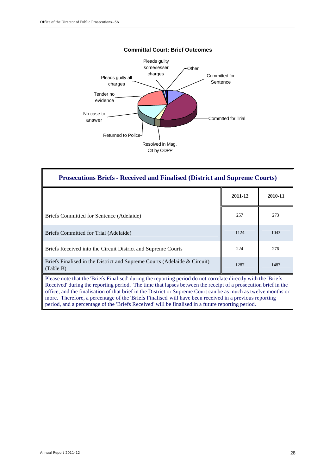

| <b>Prosecutions Briefs - Received and Finalised (District and Supreme Courts)</b>                                                                                                                                                                                                                                                                                                                                                                             |         |         |  |  |  |  |
|---------------------------------------------------------------------------------------------------------------------------------------------------------------------------------------------------------------------------------------------------------------------------------------------------------------------------------------------------------------------------------------------------------------------------------------------------------------|---------|---------|--|--|--|--|
|                                                                                                                                                                                                                                                                                                                                                                                                                                                               | 2011-12 | 2010-11 |  |  |  |  |
| Briefs Committed for Sentence (Adelaide)                                                                                                                                                                                                                                                                                                                                                                                                                      | 257     | 273     |  |  |  |  |
| Briefs Committed for Trial (Adelaide)                                                                                                                                                                                                                                                                                                                                                                                                                         | 1124    | 1043    |  |  |  |  |
| Briefs Received into the Circuit District and Supreme Courts                                                                                                                                                                                                                                                                                                                                                                                                  | 224     | 276     |  |  |  |  |
| Briefs Finalised in the District and Supreme Courts (Adelaide & Circuit)<br>1287<br>(Table B)                                                                                                                                                                                                                                                                                                                                                                 |         |         |  |  |  |  |
| Please note that the 'Briefs Finalised' during the reporting period do not correlate directly with the 'Briefs'<br>Received' during the reporting period. The time that lapses between the receipt of a prosecution brief in the<br>office, and the finalisation of that brief in the District or Supreme Court can be as much as twelve months or<br>more. Therefore, a percentage of the 'Briefs Finalised' will have been received in a previous reporting |         |         |  |  |  |  |

period, and a percentage of the 'Briefs Received' will be finalised in a future reporting period.

#### **Committal Court: Brief Outcomes**

\_\_\_\_\_\_\_\_\_\_\_\_\_\_\_\_\_\_\_\_\_\_\_\_\_\_\_\_\_\_\_\_\_\_\_\_\_\_\_\_\_\_\_\_\_\_\_\_\_\_\_\_\_\_\_\_\_\_\_\_\_\_\_\_\_\_\_\_\_\_\_\_\_\_\_\_\_\_\_\_\_\_\_\_\_\_\_\_\_\_\_\_\_\_\_\_\_\_\_\_\_\_\_\_\_\_\_\_\_\_\_\_\_\_\_\_\_\_\_\_\_\_\_\_\_\_\_\_\_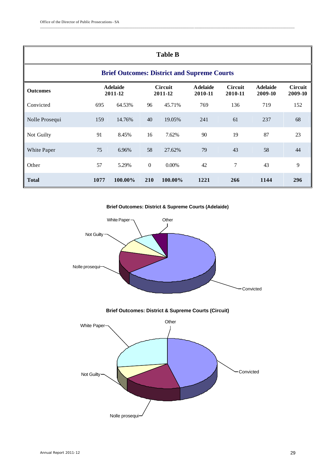| <b>Table B</b>                                                                                                                                                                                    |      |         |                  |          |      |     |      |     |  |
|---------------------------------------------------------------------------------------------------------------------------------------------------------------------------------------------------|------|---------|------------------|----------|------|-----|------|-----|--|
| <b>Brief Outcomes: District and Supreme Courts</b>                                                                                                                                                |      |         |                  |          |      |     |      |     |  |
| <b>Adelaide</b><br><b>Circuit</b><br><b>A</b> delaide<br><b>Circuit</b><br><b>Circuit</b><br><b>Adelaide</b><br><b>Outcomes</b><br>2011-12<br>2011-12<br>2010-11<br>2010-11<br>2009-10<br>2009-10 |      |         |                  |          |      |     |      |     |  |
| Convicted                                                                                                                                                                                         | 695  | 64.53%  | 96               | 45.71%   | 769  | 136 | 719  | 152 |  |
| Nolle Prosequi                                                                                                                                                                                    | 159  | 14.76%  | 40               | 19.05%   | 241  | 61  | 237  | 68  |  |
| Not Guilty                                                                                                                                                                                        | 91   | 8.45%   | 16               | 7.62%    | 90   | 19  | 87   | 23  |  |
| White Paper                                                                                                                                                                                       | 75   | 6.96%   | 58               | 27.62%   | 79   | 43  | 58   | 44  |  |
| Other                                                                                                                                                                                             | 57   | 5.29%   | $\boldsymbol{0}$ | $0.00\%$ | 42   | 7   | 43   | 9   |  |
| <b>Total</b>                                                                                                                                                                                      | 1077 | 100.00% | 210              | 100.00%  | 1221 | 266 | 1144 | 296 |  |

\_\_\_\_\_\_\_\_\_\_\_\_\_\_\_\_\_\_\_\_\_\_\_\_\_\_\_\_\_\_\_\_\_\_\_\_\_\_\_\_\_\_\_\_\_\_\_\_\_\_\_\_\_\_\_\_\_\_\_\_\_\_\_\_\_\_\_\_\_\_\_\_\_\_\_\_\_\_ \_\_\_\_\_\_\_\_\_\_\_\_\_\_\_\_\_\_\_\_\_\_\_\_\_\_\_\_\_\_\_\_\_\_\_\_\_\_\_\_\_\_\_\_\_\_\_\_\_\_\_

**Brief Outcomes: District & Supreme Courts (Adelaide)**



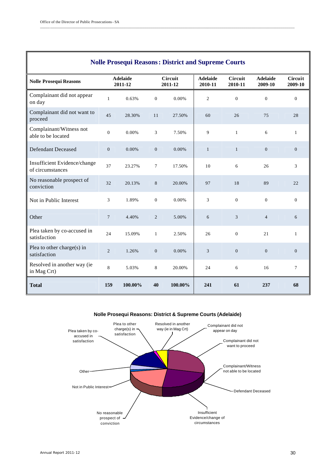| <b>Nolle Prosequi Reasons: District and Supreme Courts</b> |                            |         |                           |         |                            |                             |                            |                           |  |
|------------------------------------------------------------|----------------------------|---------|---------------------------|---------|----------------------------|-----------------------------|----------------------------|---------------------------|--|
| <b>Nolle Prosequi Reasons</b>                              | <b>Adelaide</b><br>2011-12 |         | <b>Circuit</b><br>2011-12 |         | <b>Adelaide</b><br>2010-11 | Circuit<br>2010-11          | <b>Adelaide</b><br>2009-10 | <b>Circuit</b><br>2009-10 |  |
| Complainant did not appear<br>on day                       | $\mathbf{1}$               | 0.63%   | $\mathbf{0}$              | 0.00%   | 2                          | $\overline{0}$              | $\overline{0}$             | $\overline{0}$            |  |
| Complainant did not want to<br>proceed                     | 45                         | 28.30%  | 11                        | 27.50%  | 60                         | 26                          | 75                         | 28                        |  |
| Complainant/Witness not<br>able to be located              | $\mathbf{0}$               | 0.00%   | 3                         | 7.50%   | 9                          | $\mathbf{1}$                | 6                          | $\mathbf{1}$              |  |
| <b>Defendant Deceased</b>                                  | $\mathbf{0}$               | 0.00%   | $\mathbf{0}$              | 0.00%   | $\mathbf{1}$               | $\mathbf{1}$                | $\boldsymbol{0}$           | $\mathbf{0}$              |  |
| Insufficient Evidence/change<br>of circumstances           | 37                         | 23.27%  | $7\phantom{.0}$           | 17.50%  | 10                         | 6                           | 26                         | 3                         |  |
| No reasonable prospect of<br>conviction                    | 32                         | 20.13%  | 8                         | 20.00%  | 97                         | 18                          | 89                         | 22                        |  |
| Not in Public Interest                                     | 3                          | 1.89%   | $\overline{0}$            | 0.00%   | 3                          | $\Omega$                    | $\overline{0}$             | $\Omega$                  |  |
| Other                                                      | $7\phantom{.0}$            | 4.40%   | $\overline{2}$            | 5.00%   | 6                          | $\ensuremath{\mathfrak{Z}}$ | $\overline{4}$             | 6                         |  |
| Plea taken by co-accused in<br>satisfaction                | 24                         | 15.09%  | $\mathbf{1}$              | 2.50%   | 26                         | $\boldsymbol{0}$            | 21                         | $\mathbf{1}$              |  |
| Plea to other charge( $s$ ) in<br>satisfaction             | $\overline{c}$             | 1.26%   | $\mathbf{0}$              | 0.00%   | $\overline{3}$             | $\boldsymbol{0}$            | $\boldsymbol{0}$           | $\overline{0}$            |  |
| Resolved in another way (ie<br>in Mag Crt)                 | 8                          | 5.03%   | 8                         | 20.00%  | 24                         | 6                           | 16                         | $\tau$                    |  |
| <b>Total</b>                                               | 159                        | 100.00% | 40                        | 100.00% | 241                        | 61                          | 237                        | 68                        |  |

\_\_\_\_\_\_\_\_\_\_\_\_\_\_\_\_\_\_\_\_\_\_\_\_\_\_\_\_\_\_\_\_\_\_\_\_\_\_\_\_\_\_\_\_\_\_\_\_\_\_\_\_\_\_\_\_\_\_\_\_\_\_\_\_\_\_\_\_\_\_\_\_\_\_\_\_\_\_\_\_\_\_\_\_\_\_\_\_\_\_\_\_\_\_\_\_\_\_\_\_\_\_\_\_\_\_\_\_\_\_\_\_\_\_\_\_\_\_\_\_\_\_\_\_\_\_\_\_\_

#### **Nolle Prosequi Reasons: District & Supreme Courts (Adelaide)**

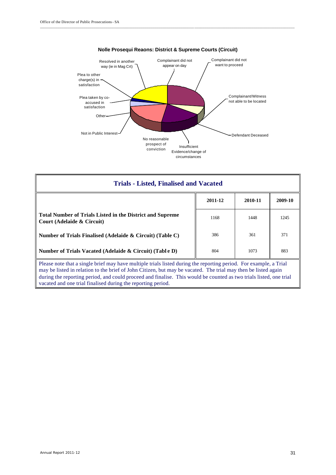

#### **Nolle Prosequi Reaons: District & Supreme Courts (Circuit)**

\_\_\_\_\_\_\_\_\_\_\_\_\_\_\_\_\_\_\_\_\_\_\_\_\_\_\_\_\_\_\_\_\_\_\_\_\_\_\_\_\_\_\_\_\_\_\_\_\_\_\_\_\_\_\_\_\_\_\_\_\_\_\_\_\_\_\_\_\_\_\_\_\_\_\_\_\_\_ \_\_\_\_\_\_\_\_\_\_\_\_\_\_\_\_\_\_\_\_\_\_\_\_\_\_\_\_\_\_\_\_\_\_\_\_\_\_\_\_\_\_\_\_\_\_\_\_\_\_\_

| <b>Trials - Listed, Finalised and Vacated</b>                                                                                                                                                                                        |         |         |         |  |  |
|--------------------------------------------------------------------------------------------------------------------------------------------------------------------------------------------------------------------------------------|---------|---------|---------|--|--|
|                                                                                                                                                                                                                                      | 2011-12 | 2010-11 | 2009-10 |  |  |
| Total Number of Trials Listed in the District and Supreme<br>Court (Adelaide $\&$ Circuit)                                                                                                                                           | 1168    | 1448    | 1245    |  |  |
| Number of Trials Finalised (Adelaide & Circuit) (Table C)                                                                                                                                                                            | 386     | 361     | 371     |  |  |
| Number of Trials Vacated (Adelaide & Circuit) (Table D)                                                                                                                                                                              | 804     | 1073    | 883     |  |  |
| Please note that a single brief may have multiple trials listed during the reporting period. For example, a Trial<br>may be lieted in relation to the brief of John Citizen, but may be yesested. The trial may then be lieted eggin |         |         |         |  |  |

may be listed in relation to the brief of John Citizen, but may be vacated. The trial may then be listed again during the reporting period, and could proceed and finalise. This would be counted as two trials listed, one trial vacated and one trial finalised during the reporting period.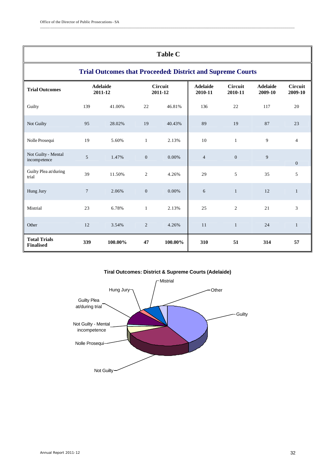| <b>Table C</b>                                                                                                                                              |                  |         |                  |         |                |                |     |                    |
|-------------------------------------------------------------------------------------------------------------------------------------------------------------|------------------|---------|------------------|---------|----------------|----------------|-----|--------------------|
| <b>Trial Outcomes that Proceeded: District and Supreme Courts</b>                                                                                           |                  |         |                  |         |                |                |     |                    |
| <b>Adelaide</b><br>Circuit<br><b>Adelaide</b><br>Circuit<br><b>Adelaide</b><br><b>Trial Outcomes</b><br>2011-12<br>2011-12<br>2010-11<br>2010-11<br>2009-10 |                  |         |                  |         |                |                |     | Circuit<br>2009-10 |
| Guilty                                                                                                                                                      | 139              | 41.00%  | 22               | 46.81%  | 136            | 22             | 117 | 20                 |
| Not Guilty                                                                                                                                                  | 95               | 28.02%  | 19               | 40.43%  | 89             | 19             | 87  | 23                 |
| Nolle Prosequi                                                                                                                                              | 19               | 5.60%   | $\mathbf{1}$     | 2.13%   | 10             | $\mathbf{1}$   | 9   | $\overline{4}$     |
| Not Guilty - Mental<br>incompetence                                                                                                                         | 5                | 1.47%   | $\overline{0}$   | 0.00%   | $\overline{4}$ | $\overline{0}$ | 9   | $\overline{0}$     |
| Guilty Plea at/during<br>trial                                                                                                                              | 39               | 11.50%  | $\overline{2}$   | 4.26%   | 29             | 5              | 35  | 5                  |
| Hung Jury                                                                                                                                                   | $\boldsymbol{7}$ | 2.06%   | $\boldsymbol{0}$ | 0.00%   | 6              | $\mathbf{1}$   | 12  | $\mathbf{1}$       |
| Mistrial                                                                                                                                                    | 23               | 6.78%   | $\mathbf{1}$     | 2.13%   | 25             | $\overline{2}$ | 21  | 3                  |
| Other                                                                                                                                                       | 12               | 3.54%   | 2                | 4.26%   | 11             | $\mathbf{1}$   | 24  | 1                  |
| <b>Total Trials</b><br><b>Finalised</b>                                                                                                                     | 339              | 100.00% | 47               | 100.00% | 310            | 51             | 314 | 57                 |

\_\_\_\_\_\_\_\_\_\_\_\_\_\_\_\_\_\_\_\_\_\_\_\_\_\_\_\_\_\_\_\_\_\_\_\_\_\_\_\_\_\_\_\_\_\_\_\_\_\_\_\_\_\_\_\_\_\_\_\_\_\_\_\_\_\_\_\_\_\_\_\_\_\_\_\_\_\_\_\_\_\_\_\_\_\_\_\_\_\_\_\_\_\_\_\_\_\_\_\_\_\_\_\_\_\_\_\_\_\_\_\_\_\_\_\_\_\_\_\_\_\_\_\_\_\_\_\_\_

#### **Tiral Outcomes: District & Supreme Courts (Adelaide)**

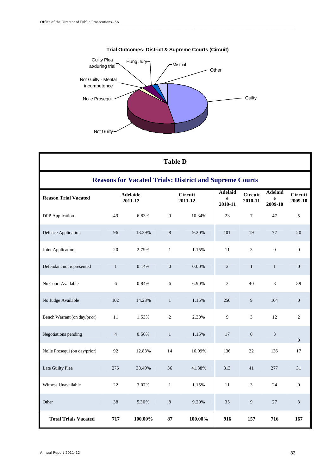



\_\_\_\_\_\_\_\_\_\_\_\_\_\_\_\_\_\_\_\_\_\_\_\_\_\_\_\_\_\_\_\_\_\_\_\_\_\_\_\_\_\_\_\_\_\_\_\_\_\_\_\_\_\_\_\_\_\_\_\_\_\_\_\_\_\_\_\_\_\_\_\_\_\_\_\_\_\_ \_\_\_\_\_\_\_\_\_\_\_\_\_\_\_\_\_\_\_\_\_\_\_\_\_\_\_\_\_\_\_\_\_\_\_\_\_\_\_\_\_\_\_\_\_\_\_\_\_\_\_

| <b>Table D</b>                                                 |                |                            |                  |                           |                                |                    |                                |                           |
|----------------------------------------------------------------|----------------|----------------------------|------------------|---------------------------|--------------------------------|--------------------|--------------------------------|---------------------------|
| <b>Reasons for Vacated Trials: District and Supreme Courts</b> |                |                            |                  |                           |                                |                    |                                |                           |
| <b>Reason Trial Vacated</b>                                    |                | <b>Adelaide</b><br>2011-12 |                  | <b>Circuit</b><br>2011-12 | <b>Adelaid</b><br>e<br>2010-11 | Circuit<br>2010-11 | <b>Adelaid</b><br>e<br>2009-10 | <b>Circuit</b><br>2009-10 |
| <b>DPP</b> Application                                         | 49             | 6.83%                      | 9                | 10.34%                    | 23                             | $\tau$             | 47                             | 5                         |
| Defence Application                                            | 96             | 13.39%                     | 8                | 9.20%                     | 101                            | 19                 | 77                             | 20                        |
| Joint Application                                              | 20             | 2.79%                      | $\mathbf{1}$     | 1.15%                     | 11                             | 3                  | $\boldsymbol{0}$               | $\boldsymbol{0}$          |
| Defendant not represented                                      | $\mathbf{1}$   | 0.14%                      | $\boldsymbol{0}$ | 0.00%                     | $\overline{2}$                 | $\mathbf{1}$       | $\mathbf{1}$                   | $\boldsymbol{0}$          |
| No Court Available                                             | 6              | 0.84%                      | 6                | 6.90%                     | $\overline{2}$                 | 40                 | 8                              | 89                        |
| No Judge Available                                             | 102            | 14.23%                     | $\mathbf{1}$     | 1.15%                     | 256                            | 9                  | 104                            | $\boldsymbol{0}$          |
| Bench Warrant (on day/prior)                                   | 11             | 1.53%                      | $\overline{2}$   | 2.30%                     | 9                              | 3                  | 12                             | $\overline{2}$            |
| Negotiations pending                                           | $\overline{4}$ | 0.56%                      | $\mathbf{1}$     | 1.15%                     | 17                             | $\boldsymbol{0}$   | 3                              | $\overline{0}$            |
| Nolle Prosequi (on day/prior)                                  | 92             | 12.83%                     | 14               | 16.09%                    | 136                            | 22                 | 136                            | 17                        |
| Late Guilty Plea                                               | 276            | 38.49%                     | 36               | 41.38%                    | 313                            | 41                 | 277                            | 31                        |
| Witness Unavailable                                            | 22             | 3.07%                      | $\mathbf{1}$     | 1.15%                     | 11                             | 3                  | 24                             | $\boldsymbol{0}$          |
| Other                                                          | 38             | 5.30%                      | 8                | 9.20%                     | 35                             | 9                  | 27                             | 3                         |
| <b>Total Trials Vacated</b>                                    | 717            | 100.00%                    | 87               | 100.00%                   | 916                            | 157                | 716                            | 167                       |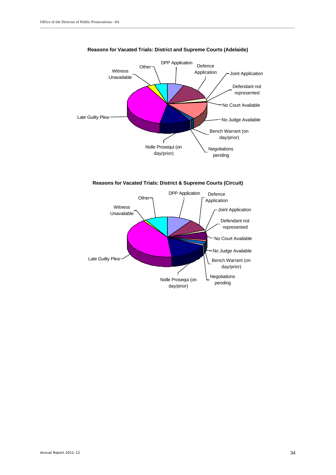

#### **Reasons for Vacated Trials: District and Supreme Courts (Adelaide)**

\_\_\_\_\_\_\_\_\_\_\_\_\_\_\_\_\_\_\_\_\_\_\_\_\_\_\_\_\_\_\_\_\_\_\_\_\_\_\_\_\_\_\_\_\_\_\_\_\_\_\_\_\_\_\_\_\_\_\_\_\_\_\_\_\_\_\_\_\_\_\_\_\_\_\_\_\_\_\_\_\_\_\_\_\_\_\_\_\_\_\_\_\_\_\_\_\_\_\_\_\_\_\_\_\_\_\_\_\_\_\_\_\_\_\_\_\_\_\_\_\_\_\_\_\_\_\_\_\_

**Reasons for Vacated Trials: District & Supreme Courts (Circuit)**

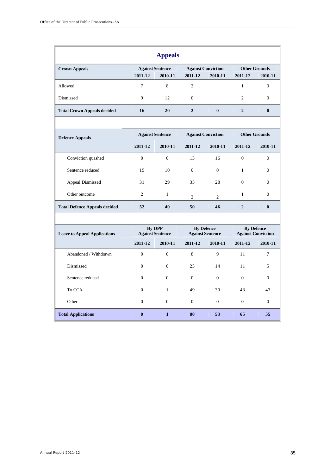| <b>Appeals</b>                       |                |                                          |                                              |                           |                                                |                      |
|--------------------------------------|----------------|------------------------------------------|----------------------------------------------|---------------------------|------------------------------------------------|----------------------|
| <b>Crown Appeals</b>                 |                | <b>Against Sentence</b>                  |                                              | <b>Against Conviction</b> |                                                | <b>Other Grounds</b> |
|                                      | 2011-12        | 2010-11                                  | 2011-12                                      | 2010-11                   | 2011-12                                        | 2010-11              |
| Allowed                              | $\tau$         | 8                                        | $\overline{c}$                               |                           | $\mathbf{1}$                                   | $\Omega$             |
| Dismissed                            | 9              | 12                                       | $\theta$                                     |                           | $\overline{c}$                                 | $\theta$             |
| <b>Total Crown Appeals decided</b>   | 16             | 20                                       | $\overline{2}$                               | $\boldsymbol{0}$          | $\overline{2}$                                 | $\bf{0}$             |
|                                      |                |                                          |                                              |                           |                                                |                      |
| <b>Defence Appeals</b>               |                | <b>Against Sentence</b>                  |                                              | <b>Against Conviction</b> | <b>Other Grounds</b>                           |                      |
|                                      | 2011-12        | 2010-11                                  | 2011-12                                      | 2010-11                   | 2011-12                                        | 2010-11              |
| Conviction quashed                   | $\mathbf{0}$   | $\mathbf{0}$                             | 13                                           | 16                        | $\overline{0}$                                 | $\mathbf{0}$         |
| Sentence reduced                     | 19             | 10                                       | $\theta$                                     | $\theta$                  | $\mathbf{1}$                                   | $\mathbf{0}$         |
| <b>Appeal Dismissed</b>              | 31             | 29                                       | 35                                           | 28                        | $\overline{0}$                                 | $\Omega$             |
| Other outcome                        | $\overline{c}$ | $\mathbf{1}$                             | $\overline{2}$                               | $\overline{2}$            | $\mathbf{1}$                                   | $\Omega$             |
| <b>Total Defence Appeals decided</b> | 52             | 40                                       | 50                                           | 46                        | $\overline{2}$                                 | $\bf{0}$             |
|                                      |                |                                          |                                              |                           |                                                |                      |
| <b>Leave to Appeal Applications</b>  |                | <b>By DPP</b><br><b>Against Sentence</b> | <b>By Defence</b><br><b>Against Sentence</b> |                           | <b>By Defence</b><br><b>Against Conviction</b> |                      |
|                                      | 2011-12        | 2010-11                                  | 2011-12                                      | 2010-11                   | 2011-12                                        | 2010-11              |
| Abandoned / Withdrawn                | $\overline{0}$ | $\mathbf{0}$                             | 8                                            | 9                         | 11                                             | $\overline{7}$       |
| Dismissed                            | $\mathbf{0}$   | $\mathbf{0}$                             | 23                                           | 14                        | 11                                             | 5                    |
| Sentence reduced                     | $\Omega$       | $\theta$                                 | $\theta$                                     | $\mathbf{0}$              | $\overline{0}$                                 | $\theta$             |
| To CCA                               | $\mathbf{0}$   | $\mathbf{1}$                             | 49                                           | 30                        | 43                                             | 43                   |

Other 0 0 0 0 0 0

**Total Applications 0 1 80 53 65 55**

\_\_\_\_\_\_\_\_\_\_\_\_\_\_\_\_\_\_\_\_\_\_\_\_\_\_\_\_\_\_\_\_\_\_\_\_\_\_\_\_\_\_\_\_\_\_\_\_\_\_\_\_\_\_\_\_\_\_\_\_\_\_\_\_\_\_\_\_\_\_\_\_\_\_\_\_\_\_ \_\_\_\_\_\_\_\_\_\_\_\_\_\_\_\_\_\_\_\_\_\_\_\_\_\_\_\_\_\_\_\_\_\_\_\_\_\_\_\_\_\_\_\_\_\_\_\_\_\_\_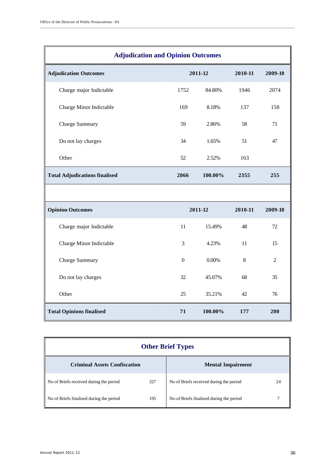| <b>Adjudication and Opinion Outcomes</b> |                 |         |         |                |  |  |
|------------------------------------------|-----------------|---------|---------|----------------|--|--|
| <b>Adjudication Outcomes</b>             |                 | 2011-12 | 2010-11 | 2009-10        |  |  |
| Charge major Indictable                  | 1752            | 84.80%  | 1946    | 2074           |  |  |
| Charge Minor Indictable                  | 169             | 8.18%   | 137     | 158            |  |  |
| <b>Charge Summary</b>                    | 59              | 2.86%   | 58      | 71             |  |  |
| Do not lay charges                       | 34              | 1.65%   | 51      | 47             |  |  |
| Other                                    | 52              | 2.52%   | 163     |                |  |  |
| <b>Total Adjudications finalised</b>     | 2066<br>100.00% |         | 2355    | 255            |  |  |
|                                          |                 |         |         |                |  |  |
| <b>Opinion Outcomes</b>                  |                 | 2011-12 | 2010-11 | 2009-10        |  |  |
| Charge major Indictable                  | 11              | 15.49%  | 48      | 72             |  |  |
| Charge Minor Indictable                  | 3               | 4.23%   | 11      | 15             |  |  |
| <b>Charge Summary</b>                    | $\mathbf{0}$    | 0.00%   | $\,8\,$ | $\overline{2}$ |  |  |
| Do not lay charges                       | 32              | 45.07%  | 68      | 35             |  |  |
| Other                                    | 25              | 35.21%  | 42      | 76             |  |  |
| <b>Total Opinions finalised</b>          | 71              | 100.00% | 177     | 200            |  |  |

\_\_\_\_\_\_\_\_\_\_\_\_\_\_\_\_\_\_\_\_\_\_\_\_\_\_\_\_\_\_\_\_\_\_\_\_\_\_\_\_\_\_\_\_\_\_\_\_\_\_\_\_\_\_\_\_\_\_\_\_\_\_\_\_\_\_\_\_\_\_\_\_\_\_\_\_\_\_\_\_\_\_\_\_\_\_\_\_\_\_\_\_\_\_\_\_\_\_\_\_\_\_\_\_\_\_\_\_\_\_\_\_\_\_\_\_\_\_\_\_\_\_\_\_\_\_\_\_\_

| <b>Other Brief Types</b>                 |     |                                          |    |  |
|------------------------------------------|-----|------------------------------------------|----|--|
| <b>Criminal Assets Confiscation</b>      |     | <b>Mental Impairment</b>                 |    |  |
| No of Briefs received during the period  | 327 | No of Briefs received during the period  | 24 |  |
| No of Briefs finalised during the period | 195 | No of Briefs finalised during the period |    |  |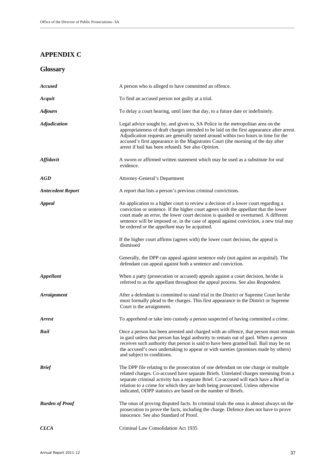## **APPENDIX C**

| Glossary |
|----------|
|----------|

| <b>Accused</b>           | A person who is alleged to have committed an offence.                                                                                                                                                                                                                                                                                                                                                                      |
|--------------------------|----------------------------------------------------------------------------------------------------------------------------------------------------------------------------------------------------------------------------------------------------------------------------------------------------------------------------------------------------------------------------------------------------------------------------|
| Acquit                   | To find an accused person not guilty at a trial.                                                                                                                                                                                                                                                                                                                                                                           |
| <b>Adjourn</b>           | To delay a court hearing, until later that day, to a future date or indefinitely.                                                                                                                                                                                                                                                                                                                                          |
| <b>Adjudication</b>      | Legal advice sought by, and given to, SA Police in the metropolitan area on the<br>appropriateness of draft charges intended to be laid on the first appearance after arrest.<br>Adjudication requests are generally turned around within two hours in time for the<br>accused's first appearance in the Magistrates Court (the morning of the day after<br>arrest if bail has been refused). See also Opinion.            |
| <b>Affidavit</b>         | A sworn or affirmed written statement which may be used as a substitute for oral<br>evidence.                                                                                                                                                                                                                                                                                                                              |
| AGD                      | Attorney-General's Department                                                                                                                                                                                                                                                                                                                                                                                              |
| <b>Antecedent Report</b> | A report that lists a person's previous criminal convictions.                                                                                                                                                                                                                                                                                                                                                              |
| <b>Appeal</b>            | An application to a higher court to review a decision of a lower court regarding a<br>conviction or sentence. If the higher court agrees with the <i>appellant</i> that the lower<br>court made an error, the lower court decision is quashed or overturned. A different<br>sentence will be imposed or, in the case of appeal against conviction, a new trial may<br>be ordered or the <i>appellant</i> may be acquitted. |
|                          | If the higher court affirms (agrees with) the lower court decision, the appeal is<br>dismissed                                                                                                                                                                                                                                                                                                                             |
|                          | Generally, the DPP can appeal against sentence only (not against an acquittal). The<br>defendant can appeal against both a sentence and conviction.                                                                                                                                                                                                                                                                        |
| Appellant                | When a party (prosecution or accused) appeals against a court decision, he/she is<br>referred to as the appellant throughout the appeal process. See also Respondent.                                                                                                                                                                                                                                                      |
| <b>Arraignment</b>       | After a defendant is committed to stand trial in the District or Supreme Court he/she<br>must formally plead to the charges. This first appearance in the District or Supreme<br>Court is the arraignment.                                                                                                                                                                                                                 |
| <b>Arrest</b>            | To apprehend or take into custody a person suspected of having committed a crime.                                                                                                                                                                                                                                                                                                                                          |
| <b>Bail</b>              | Once a person has been arrested and charged with an offence, that person must remain<br>in gaol unless that person has legal authority to remain out of gaol. When a person<br>receives such authority that person is said to have been granted bail. Bail may be on<br>the accused's own undertaking to appear or with sureties (promises made by others)<br>and subject to conditions.                                   |
| <b>Brief</b>             | The DPP file relating to the prosecution of one defendant on one charge or multiple<br>related charges. Co-accused have separate Briefs. Unrelated charges stemming from a<br>separate criminal activity has a separate Brief. Co-accused will each have a Brief in<br>relation to a crime for which they are both being prosecuted. Unless otherwise<br>indicated, ODPP statistics are based on the number of Briefs.     |
| <b>Burden of Proof</b>   | The onus of proving disputed facts. In criminal trials the onus is almost always on the<br>prosecution to prove the facts, including the charge. Defence does not have to prove<br>innocence. See also Standard of Proof.                                                                                                                                                                                                  |
| <b>CLCA</b>              | Criminal Law Consolidation Act 1935                                                                                                                                                                                                                                                                                                                                                                                        |

\_\_\_\_\_\_\_\_\_\_\_\_\_\_\_\_\_\_\_\_\_\_\_\_\_\_\_\_\_\_\_\_\_\_\_\_\_\_\_\_\_\_\_\_\_\_\_\_\_\_\_\_\_\_\_\_\_\_\_\_\_\_\_\_\_\_\_\_\_\_\_\_\_\_\_\_\_\_ \_\_\_\_\_\_\_\_\_\_\_\_\_\_\_\_\_\_\_\_\_\_\_\_\_\_\_\_\_\_\_\_\_\_\_\_\_\_\_\_\_\_\_\_\_\_\_\_\_\_\_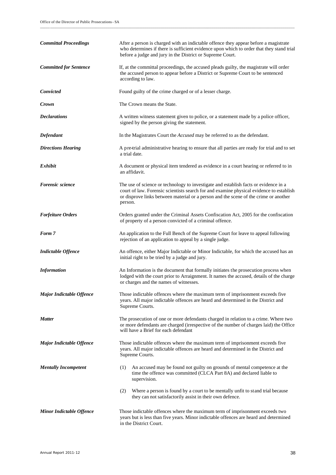| <b>Committal Proceedings</b>    | After a person is charged with an indictable offence they appear before a magistrate<br>who determines if there is sufficient evidence upon which to order that they stand trial<br>before a judge and jury in the District or Supreme Court.                                      |
|---------------------------------|------------------------------------------------------------------------------------------------------------------------------------------------------------------------------------------------------------------------------------------------------------------------------------|
| <b>Committed for Sentence</b>   | If, at the committal proceedings, the accused pleads guilty, the magistrate will order<br>the accused person to appear before a District or Supreme Court to be sentenced<br>according to law.                                                                                     |
| <b>Convicted</b>                | Found guilty of the crime charged or of a lesser charge.                                                                                                                                                                                                                           |
| Crown                           | The Crown means the State.                                                                                                                                                                                                                                                         |
| <b>Declarations</b>             | A written witness statement given to police, or a statement made by a police officer,<br>signed by the person giving the statement.                                                                                                                                                |
| Defendant                       | In the Magistrates Court the <i>Accused</i> may be referred to as the defendant.                                                                                                                                                                                                   |
| <b>Directions Hearing</b>       | A pre-trial administrative hearing to ensure that all parties are ready for trial and to set<br>a trial date.                                                                                                                                                                      |
| Exhibit                         | A document or physical item tendered as evidence in a court hearing or referred to in<br>an affidavit.                                                                                                                                                                             |
| Forensic science                | The use of science or technology to investigate and establish facts or evidence in a<br>court of law. Forensic scientists search for and examine physical evidence to establish<br>or disprove links between material or a person and the scene of the crime or another<br>person. |
| <b>Forfeiture Orders</b>        | Orders granted under the Criminal Assets Confiscation Act, 2005 for the confiscation<br>of property of a person convicted of a criminal offence.                                                                                                                                   |
| Form 7                          | An application to the Full Bench of the Supreme Court for leave to appeal following<br>rejection of an application to appeal by a single judge.                                                                                                                                    |
| <b>Indictable Offence</b>       | An offence, either Major Indictable or Minor Indictable, for which the accused has an<br>initial right to be tried by a judge and jury.                                                                                                                                            |
| <b>Information</b>              | An Information is the document that formally initiates the prosecution process when<br>lodged with the court prior to Arraignment. It names the accused, details of the charge<br>or charges and the names of witnesses.                                                           |
| <b>Major Indictable Offence</b> | Those indictable offences where the maximum term of imprisonment exceeds five<br>years. All major indictable offences are heard and determined in the District and<br>Supreme Courts.                                                                                              |
| <b>Matter</b>                   | The prosecution of one or more defendants charged in relation to a crime. Where two<br>or more defendants are charged (irrespective of the number of charges laid) the Office<br>will have a Brief for each defendant                                                              |
| <b>Major Indictable Offence</b> | Those indictable offences where the maximum term of imprisonment exceeds five<br>years. All major indictable offences are heard and determined in the District and<br>Supreme Courts.                                                                                              |
| <b>Mentally Incompetent</b>     | An accused may be found not guilty on grounds of mental competence at the<br>(1)<br>time the offence was committed (CLCA Part 8A) and declared liable to<br>supervision.                                                                                                           |
|                                 | Where a person is found by a court to be mentally unfit to stand trial because<br>(2)<br>they can not satisfactorily assist in their own defence.                                                                                                                                  |
| <b>Minor Indictable Offence</b> | Those indictable offences where the maximum term of imprisonment exceeds two<br>years but is less than five years. Minor indictable offences are heard and determined<br>in the District Court.                                                                                    |

\_\_\_\_\_\_\_\_\_\_\_\_\_\_\_\_\_\_\_\_\_\_\_\_\_\_\_\_\_\_\_\_\_\_\_\_\_\_\_\_\_\_\_\_\_\_\_\_\_\_\_\_\_\_\_\_\_\_\_\_\_\_\_\_\_\_\_\_\_\_\_\_\_\_\_\_\_\_\_\_\_\_\_\_\_\_\_\_\_\_\_\_\_\_\_\_\_\_\_\_\_\_\_\_\_\_\_\_\_\_\_\_\_\_\_\_\_\_\_\_\_\_\_\_\_\_\_\_\_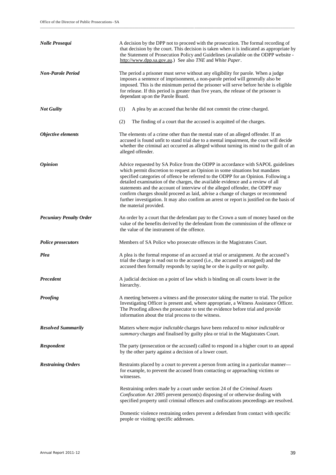| Nolle Prosequi                 | A decision by the DPP not to proceed with the prosecution. The formal recording of<br>that decision by the court. This decision is taken when it is indicated as appropriate by<br>the Statement of Prosecution Policy and Guidelines (available on the ODPP website -<br>http://www.dpp.sa.gov.au.) See also TNE and White Paper.                                                                                                                                                                                                                                                                                                      |
|--------------------------------|-----------------------------------------------------------------------------------------------------------------------------------------------------------------------------------------------------------------------------------------------------------------------------------------------------------------------------------------------------------------------------------------------------------------------------------------------------------------------------------------------------------------------------------------------------------------------------------------------------------------------------------------|
| <b>Non-Parole Period</b>       | The period a prisoner must serve without any eligibility for parole. When a judge<br>imposes a sentence of imprisonment, a non-parole period will generally also be<br>imposed. This is the minimum period the prisoner will serve before he/she is eligible<br>for release. If this period is greater than five years, the release of the prisoner is<br>dependant up on the Parole Board.                                                                                                                                                                                                                                             |
| <b>Not Guilty</b>              | (1)<br>A plea by an accused that he/she did not commit the crime charged.                                                                                                                                                                                                                                                                                                                                                                                                                                                                                                                                                               |
|                                | (2)<br>The finding of a court that the accused is acquitted of the charges.                                                                                                                                                                                                                                                                                                                                                                                                                                                                                                                                                             |
| Objective elements             | The elements of a crime other than the mental state of an alleged offender. If an<br>accused is found unfit to stand trial due to a mental impairment, the court will decide<br>whether the criminal act occurred as alleged without turning its mind to the guilt of an<br>alleged offender.                                                                                                                                                                                                                                                                                                                                           |
| <i><b>Opinion</b></i>          | Advice requested by SA Police from the ODPP in accordance with SAPOL guidelines<br>which permit discretion to request an Opinion in some situations but mandates<br>specified categories of offence be referred to the ODPP for an Opinion. Following a<br>detailed examination of the charges, the available evidence and a review of all<br>statements and the account of interview of the alleged offender, the ODPP may<br>confirm charges should proceed as laid, advise a change of charges or recommend<br>further investigation. It may also confirm an arrest or report is justified on the basis of<br>the material provided. |
| <b>Pecuniary Penalty Order</b> | An order by a court that the defendant pay to the Crown a sum of money based on the<br>value of the benefits derived by the defendant from the commission of the offence or<br>the value of the instrument of the offence.                                                                                                                                                                                                                                                                                                                                                                                                              |
| <b>Police prosecutors</b>      | Members of SA Police who prosecute offences in the Magistrates Court.                                                                                                                                                                                                                                                                                                                                                                                                                                                                                                                                                                   |
| Plea                           | A plea is the formal response of an accused at trial or arraignment. At the accused's<br>trial the charge is read out to the accused (i.e., the accused is arraigned) and the<br>accused then formally responds by saying he or she is <i>guilty</i> or <i>not guilty</i> .                                                                                                                                                                                                                                                                                                                                                             |
| <b>Precedent</b>               | A judicial decision on a point of law which is binding on all courts lower in the<br>hierarchy.                                                                                                                                                                                                                                                                                                                                                                                                                                                                                                                                         |
| <b>Proofing</b>                | A meeting between a witness and the prosecutor taking the matter to trial. The police<br>Investigating Officer is present and, where appropriate, a Witness Assistance Officer.<br>The Proofing allows the prosecutor to test the evidence before trial and provide<br>information about the trial process to the witness.                                                                                                                                                                                                                                                                                                              |
| <b>Resolved Summarily</b>      | Matters where <i>major indictable</i> charges have been reduced to <i>minor indictable</i> or<br>summary charges and finalised by guilty plea or trial in the Magistrates Court.                                                                                                                                                                                                                                                                                                                                                                                                                                                        |
| <b>Respondent</b>              | The party (prosecution or the accused) called to respond in a higher court to an appeal<br>by the other party against a decision of a lower court.                                                                                                                                                                                                                                                                                                                                                                                                                                                                                      |
| <b>Restraining Orders</b>      | Restraints placed by a court to prevent a person from acting in a particular manner—<br>for example, to prevent the accused from contacting or approaching victims or<br>witnesses.                                                                                                                                                                                                                                                                                                                                                                                                                                                     |
|                                | Restraining orders made by a court under section 24 of the Criminal Assets<br>Confiscation Act 2005 prevent person(s) disposing of or otherwise dealing with<br>specified property until criminal offences and confiscations proceedings are resolved.                                                                                                                                                                                                                                                                                                                                                                                  |
|                                | Domestic violence restraining orders prevent a defendant from contact with specific<br>people or visiting specific addresses.                                                                                                                                                                                                                                                                                                                                                                                                                                                                                                           |

\_\_\_\_\_\_\_\_\_\_\_\_\_\_\_\_\_\_\_\_\_\_\_\_\_\_\_\_\_\_\_\_\_\_\_\_\_\_\_\_\_\_\_\_\_\_\_\_\_\_\_\_\_\_\_\_\_\_\_\_\_\_\_\_\_\_\_\_\_\_\_\_\_\_\_\_\_\_ \_\_\_\_\_\_\_\_\_\_\_\_\_\_\_\_\_\_\_\_\_\_\_\_\_\_\_\_\_\_\_\_\_\_\_\_\_\_\_\_\_\_\_\_\_\_\_\_\_\_\_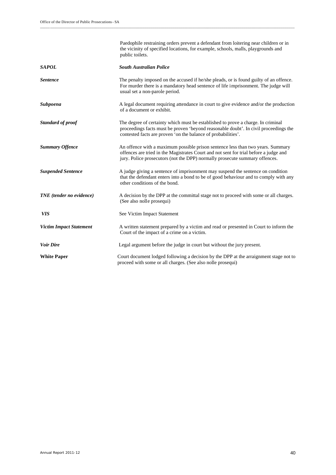|                                 | Paedophile restraining orders prevent a defendant from loitering near children or in<br>the vicinity of specified locations, for example, schools, malls, playgrounds and<br>public toilets.                                                            |
|---------------------------------|---------------------------------------------------------------------------------------------------------------------------------------------------------------------------------------------------------------------------------------------------------|
| <b>SAPOL</b>                    | <b>South Australian Police</b>                                                                                                                                                                                                                          |
| <b>Sentence</b>                 | The penalty imposed on the accused if he/she pleads, or is found guilty of an offence.<br>For murder there is a mandatory head sentence of life imprisonment. The judge will<br>usual set a non-parole period.                                          |
| <b>Subpoena</b>                 | A legal document requiring attendance in court to give evidence and/or the production<br>of a document or exhibit.                                                                                                                                      |
| <b>Standard of proof</b>        | The degree of certainty which must be established to prove a charge. In criminal<br>proceedings facts must be proven 'beyond reasonable doubt'. In civil proceedings the<br>contested facts are proven 'on the balance of probabilities'.               |
| <b>Summary Offence</b>          | An offence with a maximum possible prison sentence less than two years. Summary<br>offences are tried in the Magistrates Court and not sent for trial before a judge and<br>jury. Police prosecutors (not the DPP) normally prosecute summary offences. |
| <b>Suspended Sentence</b>       | A judge giving a sentence of imprisonment may suspend the sentence on condition<br>that the defendant enters into a bond to be of good behaviour and to comply with any<br>other conditions of the bond.                                                |
| <b>TNE</b> (tender no evidence) | A decision by the DPP at the committal stage not to proceed with some or all charges.<br>(See also nolle prosequi)                                                                                                                                      |
| <b>VIS</b>                      | See Victim Impact Statement                                                                                                                                                                                                                             |
| <b>Victim Impact Statement</b>  | A written statement prepared by a victim and read or presented in Court to inform the<br>Court of the impact of a crime on a victim.                                                                                                                    |
| <b>Voir Dire</b>                | Legal argument before the judge in court but without the jury present.                                                                                                                                                                                  |
| <b>White Paper</b>              | Court document lodged following a decision by the DPP at the arraignment stage not to<br>proceed with some or all charges. (See also nolle prosequi)                                                                                                    |

\_\_\_\_\_\_\_\_\_\_\_\_\_\_\_\_\_\_\_\_\_\_\_\_\_\_\_\_\_\_\_\_\_\_\_\_\_\_\_\_\_\_\_\_\_\_\_\_\_\_\_\_\_\_\_\_\_\_\_\_\_\_\_\_\_\_\_\_\_\_\_\_\_\_\_\_\_\_\_\_\_\_\_\_\_\_\_\_\_\_\_\_\_\_\_\_\_\_\_\_\_\_\_\_\_\_\_\_\_\_\_\_\_\_\_\_\_\_\_\_\_\_\_\_\_\_\_\_\_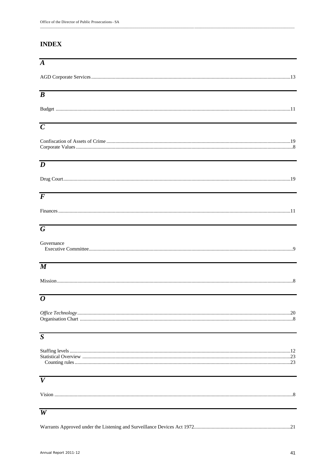# **INDEX**

| $\overline{A}$      |  |
|---------------------|--|
|                     |  |
| $\overline{\bm{B}}$ |  |
|                     |  |
| $\overline{C}$      |  |
|                     |  |
| $\overline{D}$      |  |
|                     |  |
| $\overline{F}$      |  |
|                     |  |
| $\overline{G}$      |  |
| Governance          |  |
| $\overline{\bm{M}}$ |  |
|                     |  |
| $\overline{o}$      |  |
|                     |  |
| $\overline{S}$      |  |
|                     |  |
| $\boldsymbol{V}$    |  |
|                     |  |
| W                   |  |
|                     |  |